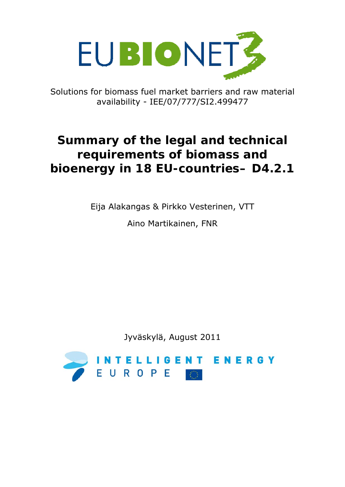

Solutions for biomass fuel market barriers and raw material availability - IEE/07/777/SI2.499477

# **Summary of the legal and technical requirements of biomass and bioenergy in 18 EU-countries– D4.2.1**

Eija Alakangas & Pirkko Vesterinen, VTT

Aino Martikainen, FNR

Jyväskylä, August 2011

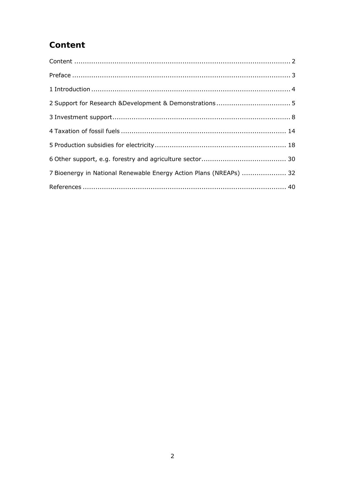## Content

| 7 Bioenergy in National Renewable Energy Action Plans (NREAPs)  32 |  |
|--------------------------------------------------------------------|--|
|                                                                    |  |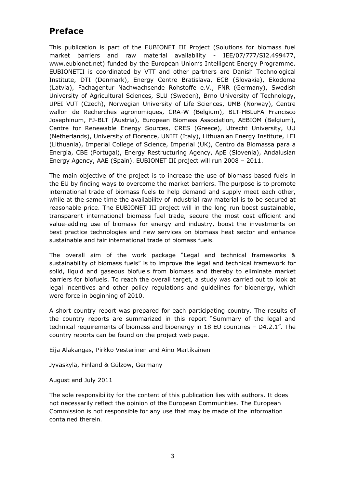#### **Preface**

This publication is part of the EUBIONET III Project (Solutions for biomass fuel market barriers and raw material availability - IEE/07/777/SI2.499477, www.eubionet.net) funded by the European Union's Intelligent Energy Programme. EUBIONETII is coordinated by VTT and other partners are Danish Technological Institute, DTI (Denmark), Energy Centre Bratislava, ECB (Slovakia), Ekodoma (Latvia), Fachagentur Nachwachsende Rohstoffe e.V., FNR (Germany), Swedish University of Agricultural Sciences, SLU (Sweden), Brno University of Technology, UPEI VUT (Czech), Norwegian University of Life Sciences, UMB (Norway), Centre wallon de Recherches agronomiques, CRA-W (Belgium), BLT-HBLuFA Francisco Josephinum, FJ-BLT (Austria), European Biomass Association, AEBIOM (Belgium), Centre for Renewable Energy Sources, CRES (Greece), Utrecht University, UU (Netherlands), University of Florence, UNIFI (Italy), Lithuanian Energy Institute, LEI (Lithuania), Imperial College of Science, Imperial (UK), Centro da Biomassa para a Energia, CBE (Portugal), Energy Restructuring Agency, ApE (Slovenia), Andalusian Energy Agency, AAE (Spain). EUBIONET III project will run 2008 – 2011.

The main objective of the project is to increase the use of biomass based fuels in the EU by finding ways to overcome the market barriers. The purpose is to promote international trade of biomass fuels to help demand and supply meet each other, while at the same time the availability of industrial raw material is to be secured at reasonable price. The EUBIONET III project will in the long run boost sustainable, transparent international biomass fuel trade, secure the most cost efficient and value-adding use of biomass for energy and industry, boost the investments on best practice technologies and new services on biomass heat sector and enhance sustainable and fair international trade of biomass fuels.

The overall aim of the work package "Legal and technical frameworks & sustainability of biomass fuels" is to improve the legal and technical framework for solid, liquid and gaseous biofuels from biomass and thereby to eliminate market barriers for biofuels. To reach the overall target, a study was carried out to look at legal incentives and other policy regulations and guidelines for bioenergy, which were force in beginning of 2010.

A short country report was prepared for each participating country. The results of the country reports are summarized in this report "Summary of the legal and technical requirements of biomass and bioenergy in 18 EU countries – D4.2.1". The country reports can be found on the project web page.

*Eija Alakangas, Pirkko Vesterinen and Aino Martikainen* 

Jyväskylä, Finland & Gülzow, Germany

August and July 2011

*The sole responsibility for the content of this publication lies with authors. It does not necessarily reflect the opinion of the European Communities. The European Commission is not responsible for any use that may be made of the information contained therein.*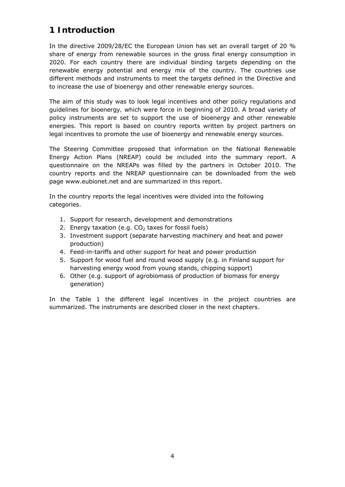#### **1 Introduction**

In the directive 2009/28/EC the European Union has set an overall target of 20 % share of energy from renewable sources in the gross final energy consumption in 2020. For each country there are individual binding targets depending on the renewable energy potential and energy mix of the country. The countries use different methods and instruments to meet the targets defined in the Directive and to increase the use of bioenergy and other renewable energy sources.

The aim of this study was to look *legal incentives and other policy regulations and guidelines for bioenergy, which were force in beginning of 2010*. A broad variety of policy instruments are set to support the use of bioenergy and other renewable energies. This report is based on country reports written by project partners on legal incentives to promote the use of bioenergy and renewable energy sources.

The Steering Committee proposed that information on the National Renewable Energy Action Plans (NREAP) could be included into the summary report. A questionnaire on the NREAPs was filled by the partners in October 2010. The country reports and the NREAP questionnaire can be downloaded from the web page www.eubionet.net and are summarized in this report.

In the country reports the legal incentives were divided into the following categories.

- 1. Support for research, development and demonstrations
- 2. Energy taxation (e.g.  $CO<sub>2</sub>$  taxes for fossil fuels)
- 3. Investment support (separate harvesting machinery and heat and power production)
- 4. Feed-in-tariffs and other support for heat and power production
- 5. Support for wood fuel and round wood supply (e.g. in Finland support for harvesting energy wood from young stands, chipping support)
- 6. Other (e.g. support of agrobiomass of production of biomass for energy generation)

In the Table 1 the different legal incentives in the project countries are summarized. The instruments are described closer in the next chapters.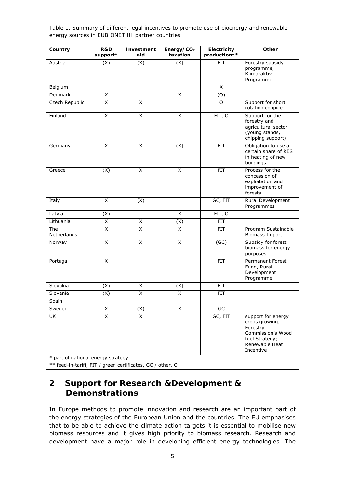*Table 1. Summary of different legal incentives to promote use of bioenergy and renewable energy sources in EUBIONET III partner countries.* 

| (X)<br>(X)<br>(X)<br><b>FIT</b><br>Austria<br>programme,<br>Klima: aktiv<br>Programme<br>X<br>Belgium<br>X<br>Denmark<br>X<br>(0)<br>X<br>X<br>Czech Republic<br>O<br>Finland<br>X<br>X<br>X<br>FIT, O<br>forestry and<br>X<br>X<br>(X)<br><b>FIT</b><br>Germany<br>buildings<br>X<br>X<br>(X)<br><b>FIT</b><br>Greece<br>concession of<br>forests<br>X<br>GC, FIT<br>Italy<br>(X)<br>Programmes<br>X<br>Latvia<br>(X)<br>FIT, O<br>$\overline{X}$<br>Lithuania<br>X<br>(X)<br><b>FIT</b><br>X<br>X<br>X<br>The<br><b>FIT</b><br>Netherlands<br>$\overline{\mathsf{x}}$<br>$\overline{\mathsf{x}}$<br>$\overline{X}$<br>(GC)<br>Norway<br>purposes<br>X<br><b>FIT</b><br>Portugal<br>Fund, Rural<br>Development<br>Programme<br>Slovakia<br>(X)<br>X<br>(X)<br><b>FIT</b><br>Slovenia<br>(X)<br>Χ<br>X<br>FIT<br>Spain<br>Sweden<br>X<br>X<br>(X)<br>GC<br>UK<br>GC, FIT<br>X<br>X<br>crops growing;<br>Forestry<br>fuel Strategy; | Country | R&D<br>support* | Investment<br>aid | Energy/ $CO2$<br>taxation | Electricity<br>production** | Other                                                                         |
|------------------------------------------------------------------------------------------------------------------------------------------------------------------------------------------------------------------------------------------------------------------------------------------------------------------------------------------------------------------------------------------------------------------------------------------------------------------------------------------------------------------------------------------------------------------------------------------------------------------------------------------------------------------------------------------------------------------------------------------------------------------------------------------------------------------------------------------------------------------------------------------------------------------------------------|---------|-----------------|-------------------|---------------------------|-----------------------------|-------------------------------------------------------------------------------|
|                                                                                                                                                                                                                                                                                                                                                                                                                                                                                                                                                                                                                                                                                                                                                                                                                                                                                                                                    |         |                 |                   |                           |                             | Forestry subsidy                                                              |
|                                                                                                                                                                                                                                                                                                                                                                                                                                                                                                                                                                                                                                                                                                                                                                                                                                                                                                                                    |         |                 |                   |                           |                             |                                                                               |
|                                                                                                                                                                                                                                                                                                                                                                                                                                                                                                                                                                                                                                                                                                                                                                                                                                                                                                                                    |         |                 |                   |                           |                             |                                                                               |
|                                                                                                                                                                                                                                                                                                                                                                                                                                                                                                                                                                                                                                                                                                                                                                                                                                                                                                                                    |         |                 |                   |                           |                             | Support for short<br>rotation coppice                                         |
|                                                                                                                                                                                                                                                                                                                                                                                                                                                                                                                                                                                                                                                                                                                                                                                                                                                                                                                                    |         |                 |                   |                           |                             | Support for the<br>agricultural sector<br>(young stands,<br>chipping support) |
|                                                                                                                                                                                                                                                                                                                                                                                                                                                                                                                                                                                                                                                                                                                                                                                                                                                                                                                                    |         |                 |                   |                           |                             | Obligation to use a<br>certain share of RES<br>in heating of new              |
|                                                                                                                                                                                                                                                                                                                                                                                                                                                                                                                                                                                                                                                                                                                                                                                                                                                                                                                                    |         |                 |                   |                           |                             | Process for the<br>exploitation and<br>improvement of                         |
|                                                                                                                                                                                                                                                                                                                                                                                                                                                                                                                                                                                                                                                                                                                                                                                                                                                                                                                                    |         |                 |                   |                           |                             | Rural Development                                                             |
|                                                                                                                                                                                                                                                                                                                                                                                                                                                                                                                                                                                                                                                                                                                                                                                                                                                                                                                                    |         |                 |                   |                           |                             |                                                                               |
|                                                                                                                                                                                                                                                                                                                                                                                                                                                                                                                                                                                                                                                                                                                                                                                                                                                                                                                                    |         |                 |                   |                           |                             |                                                                               |
|                                                                                                                                                                                                                                                                                                                                                                                                                                                                                                                                                                                                                                                                                                                                                                                                                                                                                                                                    |         |                 |                   |                           |                             | Program Sustainable<br><b>Biomass Import</b>                                  |
|                                                                                                                                                                                                                                                                                                                                                                                                                                                                                                                                                                                                                                                                                                                                                                                                                                                                                                                                    |         |                 |                   |                           |                             | Subsidy for forest<br>biomass for energy                                      |
|                                                                                                                                                                                                                                                                                                                                                                                                                                                                                                                                                                                                                                                                                                                                                                                                                                                                                                                                    |         |                 |                   |                           |                             | Permanent Forest                                                              |
|                                                                                                                                                                                                                                                                                                                                                                                                                                                                                                                                                                                                                                                                                                                                                                                                                                                                                                                                    |         |                 |                   |                           |                             |                                                                               |
|                                                                                                                                                                                                                                                                                                                                                                                                                                                                                                                                                                                                                                                                                                                                                                                                                                                                                                                                    |         |                 |                   |                           |                             |                                                                               |
|                                                                                                                                                                                                                                                                                                                                                                                                                                                                                                                                                                                                                                                                                                                                                                                                                                                                                                                                    |         |                 |                   |                           |                             |                                                                               |
|                                                                                                                                                                                                                                                                                                                                                                                                                                                                                                                                                                                                                                                                                                                                                                                                                                                                                                                                    |         |                 |                   |                           |                             |                                                                               |
| * part of national energy strategy                                                                                                                                                                                                                                                                                                                                                                                                                                                                                                                                                                                                                                                                                                                                                                                                                                                                                                 |         |                 |                   |                           |                             | support for energy<br>Commission's Wood<br>Renewable Heat<br>Incentive        |

\*\* feed-in-tariff, FIT / green certificates, GC / other, O

### **2 Support for Research &Development & Demonstrations**

In Europe methods to promote innovation and research are an important part of the energy strategies of the European Union and the countries. The EU emphasises that to be able to achieve the climate action targets it is essential to mobilise new biomass resources and it gives high priority to biomass research. Research and development have a major role in developing efficient energy technologies. The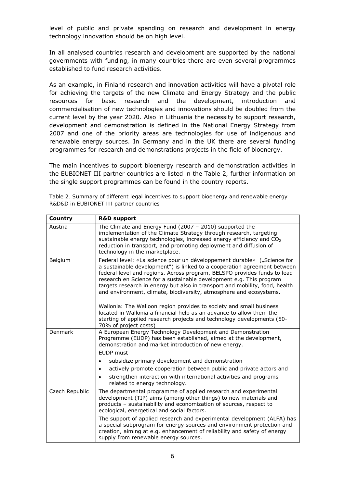level of public and private spending on research and development in energy technology innovation should be on high level.

In all analysed countries research and development are supported by the national governments with funding, in many countries there are even several programmes established to fund research activities.

As an example, in *Finland* research and innovation activities will have a pivotal role for achieving the targets of the new Climate and Energy Strategy and the public resources for basic research and the development, introduction and commercialisation of new technologies and innovations should be doubled from the current level by the year 2020. Also in *Lithuania* the necessity to support research, development and demonstration is defined in the National Energy Strategy from 2007 and one of the priority areas are technologies for use of indigenous and renewable energy sources. In *Germany* and in the *UK* there are several funding programmes for research and demonstrations projects in the field of bioenergy.

The main incentives to support bioenergy research and demonstration activities in the EUBIONET III partner countries are listed in the Table 2, further information on the single support programmes can be found in the country reports.

*Table 2. Summary of different legal incentives to support bioenergy and renewable energy R&D&D in EUBIONET III partner countries* 

| Country        | <b>R&amp;D support</b>                                                                                                                                                                                                                                                                                                                                                                                                                                                                                                                                                                                                                                                                                        |
|----------------|---------------------------------------------------------------------------------------------------------------------------------------------------------------------------------------------------------------------------------------------------------------------------------------------------------------------------------------------------------------------------------------------------------------------------------------------------------------------------------------------------------------------------------------------------------------------------------------------------------------------------------------------------------------------------------------------------------------|
| Austria        | The Climate and Energy Fund (2007 - 2010) supported the<br>implementation of the Climate Strategy through research, targeting<br>sustainable energy technologies, increased energy efficiency and $CO2$<br>reduction in transport, and promoting deployment and diffusion of<br>technology in the marketplace.                                                                                                                                                                                                                                                                                                                                                                                                |
| Belgium        | Federal level: «La science pour un développement durable» ("Science for<br>a sustainable development") is linked to a cooperation agreement between<br>federal level and regions. Across program, BELSPO provides funds to lead<br>research en Science for a sustainable development e.g. This program<br>targets research in energy but also in transport and mobility, food, health<br>and environment, climate, biodiversity, atmosphere and ecosystems.<br>Wallonia: The Walloon region provides to society and small business<br>located in Wallonia a financial help as an advance to allow them the<br>starting of applied research projects and technology developments (50-<br>70% of project costs) |
| Denmark        | A European Energy Technology Development and Demonstration<br>Programme (EUDP) has been established, aimed at the development,<br>demonstration and market introduction of new energy.<br><b>EUDP</b> must<br>subsidize primary development and demonstration<br>$\bullet$<br>actively promote cooperation between public and private actors and<br>$\bullet$<br>strengthen interaction with international activities and programs                                                                                                                                                                                                                                                                            |
|                | related to energy technology.                                                                                                                                                                                                                                                                                                                                                                                                                                                                                                                                                                                                                                                                                 |
| Czech Republic | The departmental programme of applied research and experimental<br>development (TIP) aims (among other things) to new materials and<br>products - sustainability and economization of sources, respect to<br>ecological, energetical and social factors.                                                                                                                                                                                                                                                                                                                                                                                                                                                      |
|                | The support of applied research and experimental development (ALFA) has<br>a special subprogram for energy sources and environment protection and<br>creation, aiming at e.g. enhancement of reliability and safety of energy<br>supply from renewable energy sources.                                                                                                                                                                                                                                                                                                                                                                                                                                        |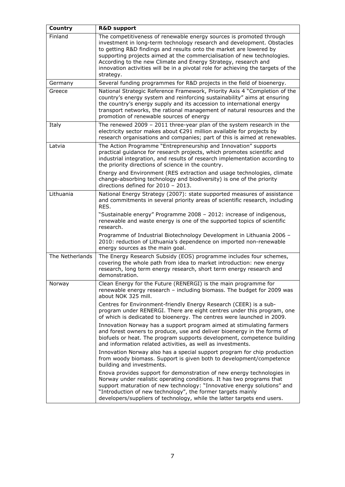| Country         | <b>R&amp;D support</b>                                                                                                                                                                                                                                                                                                                                                                                                                                            |
|-----------------|-------------------------------------------------------------------------------------------------------------------------------------------------------------------------------------------------------------------------------------------------------------------------------------------------------------------------------------------------------------------------------------------------------------------------------------------------------------------|
| Finland         | The competitiveness of renewable energy sources is promoted through<br>investment in long-term technology research and development. Obstacles<br>to getting R&D findings and results onto the market are lowered by<br>supporting projects aimed at the commercialisation of new technologies.<br>According to the new Climate and Energy Strategy, research and<br>innovation activities will be in a pivotal role for achieving the targets of the<br>strategy. |
| Germany         | Several funding programmes for R&D projects in the field of bioenergy.                                                                                                                                                                                                                                                                                                                                                                                            |
| Greece          | National Strategic Reference Framework, Priority Axis 4 "Completion of the<br>country's energy system and reinforcing sustainability" aims at ensuring<br>the country's energy supply and its accession to international energy<br>transport networks, the rational management of natural resources and the<br>promotion of renewable sources of energy                                                                                                           |
| Italy           | The renewed 2009 - 2011 three-year plan of the system research in the<br>electricity sector makes about €291 million available for projects by<br>research organisations and companies; part of this is aimed at renewables.                                                                                                                                                                                                                                      |
| Latvia          | The Action Programme "Entrepreneurship and Innovation" supports<br>practical guidance for research projects, which promotes scientific and<br>industrial integration, and results of research implementation according to<br>the priority directions of science in the country.<br>Energy and Environment (RES extraction and usage technologies, climate                                                                                                         |
|                 | change-absorbing technology and biodiversity) is one of the priority<br>directions defined for 2010 - 2013.                                                                                                                                                                                                                                                                                                                                                       |
| Lithuania       | National Energy Strategy (2007): state supported measures of assistance<br>and commitments in several priority areas of scientific research, including<br>RES.                                                                                                                                                                                                                                                                                                    |
|                 | "Sustainable energy" Programme 2008 - 2012: increase of indigenous,<br>renewable and waste energy is one of the supported topics of scientific<br>research.                                                                                                                                                                                                                                                                                                       |
|                 | Programme of Industrial Biotechnology Development in Lithuania 2006 -<br>2010: reduction of Lithuania's dependence on imported non-renewable<br>energy sources as the main goal.                                                                                                                                                                                                                                                                                  |
| The Netherlands | The Energy Research Subsidy (EOS) programme includes four schemes,<br>covering the whole path from idea to market introduction: new energy<br>research, long term energy research, short term energy research and<br>demonstration.                                                                                                                                                                                                                               |
| Norway          | Clean Energy for the Future (RENERGI) is the main programme for<br>renewable energy research - including biomass. The budget for 2009 was<br>about NOK 325 mill.                                                                                                                                                                                                                                                                                                  |
|                 | Centres for Environment-friendly Energy Research (CEER) is a sub-<br>program under RENERGI. There are eight centres under this program, one<br>of which is dedicated to bioenergy. The centres were launched in 2009.                                                                                                                                                                                                                                             |
|                 | Innovation Norway has a support program aimed at stimulating farmers<br>and forest owners to produce, use and deliver bioenergy in the forms of<br>biofuels or heat. The program supports development, competence building<br>and information related activities, as well as investments.                                                                                                                                                                         |
|                 | Innovation Norway also has a special support program for chip production<br>from woody biomass. Support is given both to development/competence<br>building and investments.                                                                                                                                                                                                                                                                                      |
|                 | Enova provides support for demonstration of new energy technologies in<br>Norway under realistic operating conditions. It has two programs that<br>support maturation of new technology: "Innovative energy solutions" and<br>"Introduction of new technology", the former targets mainly<br>developers/suppliers of technology, while the latter targets end users.                                                                                              |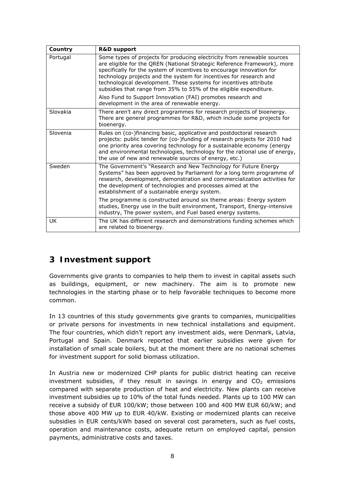| Country  | <b>R&amp;D support</b>                                                                                                                                                                                                                                                                                                                                                                                                                       |
|----------|----------------------------------------------------------------------------------------------------------------------------------------------------------------------------------------------------------------------------------------------------------------------------------------------------------------------------------------------------------------------------------------------------------------------------------------------|
| Portugal | Some types of projects for producing electricity from renewable sources<br>are eligible for the QREN (National Strategic Reference Framework), more<br>specifically for the system of incentives to encourage innovation for<br>technology projects and the system for incentives for research and<br>technological development. These systems for incentives attribute<br>subsidies that range from 35% to 55% of the eligible expenditure. |
|          | Also Fund to Support Innovation (FAI) promotes research and<br>development in the area of renewable energy.                                                                                                                                                                                                                                                                                                                                  |
| Slovakia | There aren't any direct programmes for research projects of bioenergy.<br>There are general programmes for R&D, which include some projects for<br>bioenergy.                                                                                                                                                                                                                                                                                |
| Slovenia | Rules on (co-)financing basic, applicative and postdoctoral research<br>projects: public tender for (co-)funding of research projects for 2010 had<br>one priority area covering technology for a sustainable economy (energy<br>and environmental technologies, technology for the rational use of energy,<br>the use of new and renewable sources of energy, etc.)                                                                         |
| Sweden   | The Government's "Research and New Technology for Future Energy<br>Systems" has been approved by Parliament for a long term programme of<br>research, development, demonstration and commercialization activities for<br>the development of technologies and processes aimed at the<br>establishment of a sustainable energy system.                                                                                                         |
|          | The programme is constructed around six theme areas: Energy system<br>studies, Energy use in the built environment, Transport, Energy-intensive<br>industry, The power system, and Fuel based energy systems.                                                                                                                                                                                                                                |
| UK       | The UK has different research and demonstrations funding schemes which<br>are related to bioenergy.                                                                                                                                                                                                                                                                                                                                          |

#### **3 Investment support**

Governments give grants to companies to help them to invest in capital assets such as buildings, equipment, or new machinery. The aim is to promote new technologies in the starting phase or to help favorable techniques to become more common.

In 13 countries of this study governments give grants to companies, municipalities or private persons for investments in new technical installations and equipment. The four countries, which didn't report any investment aids, were Denmark, Latvia, Portugal and Spain. Denmark reported that earlier subsidies were given for installation of small scale boilers, but at the moment there are no national schemes for investment support for solid biomass utilization.

In *Austria* new or modernized CHP plants for public district heating can receive investment subsidies, if they result in savings in energy and  $CO<sub>2</sub>$  emissions compared with separate production of heat and electricity. New plants can receive investment subsidies up to 10% of the total funds needed. Plants up to 100 MW can receive a subsidy of EUR 100/kW; those between 100 and 400 MW EUR 60/kW; and those above 400 MW up to EUR 40/kW. Existing or modernized plants can receive subsidies in EUR cents/kWh based on several cost parameters, such as fuel costs, operation and maintenance costs, adequate return on employed capital, pension payments, administrative costs and taxes.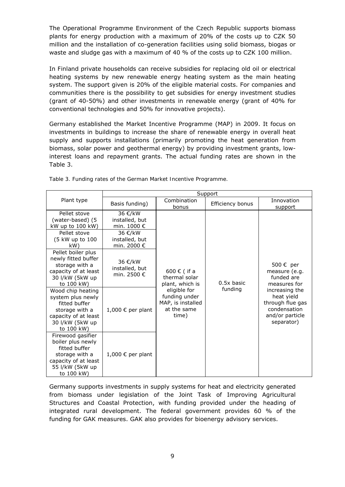The Operational Programme Environment of the *Czech Republic* supports biomass plants for energy production with a maximum of 20% of the costs up to CZK 50 million and the installation of co-generation facilities using solid biomass, biogas or waste and sludge gas with a maximum of 40 % of the costs up to CZK 100 million.

In *Finland* private households can receive subsidies for replacing old oil or electrical heating systems by new renewable energy heating system as the main heating system. The support given is 20% of the eligible material costs. For companies and communities there is the possibility to get subsidies for energy investment studies (grant of 40-50%) and other investments in renewable energy (grant of 40% for conventional technologies and 50% for innovative projects).

*Germany* established the Market Incentive Programme (MAP) in 2009. It focus on investments in buildings to increase the share of renewable energy in overall heat supply and supports installations (primarily promoting the heat generation from biomass, solar power and geothermal energy) by providing investment grants, lowinterest loans and repayment grants. The actual funding rates are shown in the Table 3.

|                                                                                                                                    | Support                                           |                                                                            |                  |                                                                                                   |
|------------------------------------------------------------------------------------------------------------------------------------|---------------------------------------------------|----------------------------------------------------------------------------|------------------|---------------------------------------------------------------------------------------------------|
| Plant type                                                                                                                         | Basis funding)                                    | Combination<br>bonus                                                       | Efficiency bonus | Innovation<br>support                                                                             |
| Pellet stove<br>(water-based) (5<br>kW up to 100 kW)                                                                               | 36 €/kW<br>installed, but<br>min. 1000 €          |                                                                            |                  |                                                                                                   |
| Pellet stove<br>(5 kW up to 100<br>kW)                                                                                             | 36 €/kW<br>installed, but<br>min. 2000 $\epsilon$ |                                                                            |                  |                                                                                                   |
| Pellet boiler plus<br>newly fitted buffer<br>storage with a<br>capacity of at least<br>30 I/kW (5kW up<br>to 100 kW)               | 36 €/kW<br>installed, but<br>min. 2500 $\epsilon$ | 600 € (if a<br>thermal solar<br>plant, which is                            | $0.5x$ basic     | 500 € per<br>measure (e.g.<br>funded are<br>measures for                                          |
| Wood chip heating<br>system plus newly<br>fitted buffer<br>storage with a<br>capacity of at least<br>30 I/kW (5kW up<br>to 100 kW) | 1,000 € per plant                                 | eligible for<br>funding under<br>MAP, is installed<br>at the same<br>time) | funding          | increasing the<br>heat yield<br>through flue gas<br>condensation<br>and/or particle<br>separator) |
| Firewood gasifier<br>boiler plus newly<br>fitted buffer<br>storage with a<br>capacity of at least<br>55 I/kW (5kW up<br>to 100 kW) | 1,000 € per plant                                 |                                                                            |                  |                                                                                                   |

*Table 3. Funding rates of the German Market Incentive Programme.* 

Germany supports investments in supply systems for heat and electricity generated from biomass under legislation of the Joint Task of Improving Agricultural Structures and Coastal Protection, with funding provided under the heading of integrated rural development. The federal government provides 60 % of the funding for GAK measures. GAK also provides for bioenergy advisory services.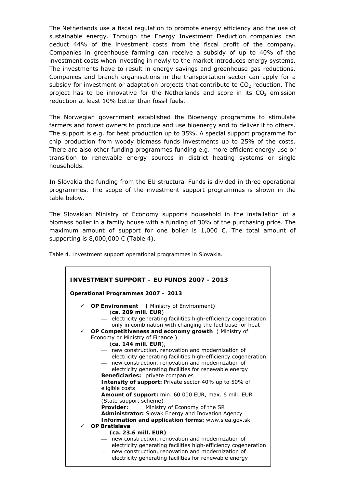*The Netherlands* use a fiscal regulation to promote energy efficiency and the use of sustainable energy. Through the Energy Investment Deduction companies can deduct 44% of the investment costs from the fiscal profit of the company. Companies in greenhouse farming can receive a subsidy of up to 40% of the investment costs when investing in newly to the market introduces energy systems. The investments have to result in energy savings and greenhouse gas reductions. Companies and branch organisations in the transportation sector can apply for a subsidy for investment or adaptation projects that contribute to  $CO<sub>2</sub>$  reduction. The project has to be innovative for the Netherlands and score in its  $CO<sub>2</sub>$  emission reduction at least 10% better than fossil fuels.

The *Norwegian* government established the Bioenergy programme to stimulate farmers and forest owners to produce and use bioenergy and to deliver it to others. The support is e.g. for heat production up to 35%. A special support programme for chip production from woody biomass funds investments up to 25% of the costs. There are also other funding programmes funding e.g. more efficient energy use or transition to renewable energy sources in district heating systems or single households.

In *Slovakia* the funding from the EU structural Funds is divided in three operational programmes. The scope of the investment support programmes is shown in the table below.

The Slovakian Ministry of Economy supports household in the installation of a biomass boiler in a family house with a funding of 30% of the purchasing price. The maximum amount of support for one boiler is  $1,000 \in$ . The total amount of supporting is 8,000,000  $\epsilon$  (Table 4).

*Table 4. Investment support operational programmes in Slovakia.* 

| INVESTMENT SUPPORT – EU FUNDS 2007 - 2013                                                                                                                                                                                                                                                                                           |
|-------------------------------------------------------------------------------------------------------------------------------------------------------------------------------------------------------------------------------------------------------------------------------------------------------------------------------------|
| Operational Programmes 2007 - 2013                                                                                                                                                                                                                                                                                                  |
| $\checkmark$ OP Environment (Ministry of Environment)<br>(ca. 209 mill. EUR)<br>- electricity generating facilities high-efficiency cogeneration<br>only in combination with changing the fuel base for heat<br>OP Competitiveness and economy growth (Ministry of<br>$\checkmark$                                                  |
| Economy or Ministry of Finance)<br>(ca. 144 mill. EUR),<br>- new construction, renovation and modernization of<br>electricity generating facilities high-efficiency cogeneration<br>new construction, renovation and modernization of<br>electricity generating facilities for renewable energy<br>Beneficiaries: private companies |
| Intensity of support: Private sector 40% up to 50% of<br>eligible costs<br>Amount of support: min. 60 000 EUR, max. 6 mill. EUR<br>(State support scheme)<br>Provider:<br>Ministry of Economy of the SR<br>Administrator: Slovak Energy and Inovation Agency<br>Information and application forms: www.siea.gov.sk                  |
| $\checkmark$ OP Bratislava<br>(ca. 23.6 mill. EUR)<br>- new construction, renovation and modernization of<br>electricity generating facilities high-efficiency cogeneration<br>new construction, renovation and modernization of<br>$\overline{\phantom{0}}$<br>electricity generating facilities for renewable energy              |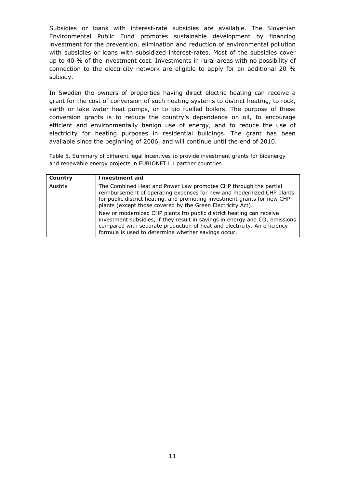Subsidies or loans with interest-rate subsidies are available. The *Slovenian* Environmental Public Fund promotes sustainable development by financing investment for the prevention, elimination and reduction of environmental pollution with subsidies or loans with subsidized interest-rates. Most of the subsidies cover up to 40 % of the investment cost. Investments in rural areas with no possibility of connection to the electricity network are eligible to apply for an additional 20 % subsidy.

In *Sweden* the owners of properties having direct electric heating can receive a grant for the cost of conversion of such heating systems to district heating, to rock, earth or lake water heat pumps, or to bio fuelled boilers. The purpose of these conversion grants is to reduce the country's dependence on oil, to encourage efficient and environmentally benign use of energy, and to reduce the use of electricity for heating purposes in residential buildings. The grant has been available since the beginning of 2006, and will continue until the end of 2010.

*Table 5. Summary of different legal incentives to provide investment grants for bioenergy and renewable energy projects in EUBIONET III partner countries.* 

| Country | Investment aid                                                                                                                                                                                                                                                                           |
|---------|------------------------------------------------------------------------------------------------------------------------------------------------------------------------------------------------------------------------------------------------------------------------------------------|
| Austria | The Combined Heat and Power Law promotes CHP through the partial<br>reimbursement of operating expenses for new and modernized CHP plants<br>for public district heating, and promoting investment grants for new CHP<br>plants (except those covered by the Green Electricity Act).     |
|         | New or modernized CHP plants fro public district heating can receive<br>investment subsidies, if they result in savings in energy and $CO2$ emissions<br>compared with separate production of heat and electricity. An efficiency<br>formula is used to determine whether savings occur. |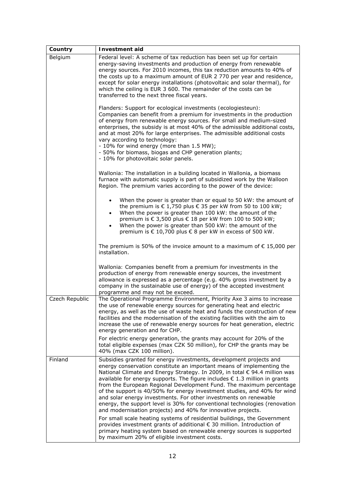| Federal level: A scheme of tax reduction has been set up for certain<br>energy-saving investments and production of energy from renewable<br>energy sources. For 2010 incomes, this tax reduction amounts to 40% of<br>the costs up to a maximum amount of EUR 2 770 per year and residence,<br>except for solar energy installations (photovoltaic and solar thermal), for<br>which the ceiling is EUR 3 600. The remainder of the costs can be<br>transferred to the next three fiscal years.                                                                                                                                                                                                                                                                                                                                                                                                                                                             |  |  |  |  |
|-------------------------------------------------------------------------------------------------------------------------------------------------------------------------------------------------------------------------------------------------------------------------------------------------------------------------------------------------------------------------------------------------------------------------------------------------------------------------------------------------------------------------------------------------------------------------------------------------------------------------------------------------------------------------------------------------------------------------------------------------------------------------------------------------------------------------------------------------------------------------------------------------------------------------------------------------------------|--|--|--|--|
| Flanders: Support for ecological investments (ecologiesteun):<br>Companies can benefit from a premium for investments in the production<br>of energy from renewable energy sources. For small and medium-sized<br>enterprises, the subsidy is at most 40% of the admissible additional costs,<br>and at most 20% for large enterprises. The admissible additional costs<br>vary according to technology:<br>- 10% for wind energy (more than 1.5 MW);<br>- 50% for biomass, biogas and CHP generation plants;<br>- 10% for photovoltaic solar panels.                                                                                                                                                                                                                                                                                                                                                                                                       |  |  |  |  |
| Wallonia: The installation in a building located in Wallonia, a biomass<br>furnace with automatic supply is part of subsidized work by the Walloon<br>Region. The premium varies according to the power of the device:                                                                                                                                                                                                                                                                                                                                                                                                                                                                                                                                                                                                                                                                                                                                      |  |  |  |  |
| When the power is greater than or equal to 50 kW: the amount of<br>$\bullet$<br>the premium is $€ 1,750$ plus $€ 35$ per kW from 50 to 100 kW;<br>When the power is greater than 100 kW: the amount of the<br>$\bullet$<br>premium is € 3,500 plus € 18 per kW from 100 to 500 kW;<br>When the power is greater than 500 kW: the amount of the<br>premium is € 10,700 plus € 8 per kW in excess of 500 kW.                                                                                                                                                                                                                                                                                                                                                                                                                                                                                                                                                  |  |  |  |  |
| The premium is 50% of the invoice amount to a maximum of $\epsilon$ 15,000 per<br>installation.                                                                                                                                                                                                                                                                                                                                                                                                                                                                                                                                                                                                                                                                                                                                                                                                                                                             |  |  |  |  |
| Wallonia: Companies benefit from a premium for investments in the<br>production of energy from renewable energy sources, the investment<br>allowance is expressed as a percentage (e.g. 40% gross investment by a<br>company in the sustainable use of energy) of the accepted investment<br>programme and may not be exceed.                                                                                                                                                                                                                                                                                                                                                                                                                                                                                                                                                                                                                               |  |  |  |  |
| The Operational Programme Environment, Priority Axe 3 aims to increase<br>the use of renewable energy sources for generating heat and electric<br>energy, as well as the use of waste heat and funds the construction of new<br>facilities and the modernisation of the existing facilities with the aim to<br>increase the use of renewable energy sources for heat generation, electric<br>energy generation and for CHP.                                                                                                                                                                                                                                                                                                                                                                                                                                                                                                                                 |  |  |  |  |
| For electric energy generation, the grants may account for 20% of the<br>total eligible expenses (max CZK 50 million), for CHP the grants may be<br>40% (max CZK 100 million).                                                                                                                                                                                                                                                                                                                                                                                                                                                                                                                                                                                                                                                                                                                                                                              |  |  |  |  |
| Subsidies granted for energy investments, development projects and<br>energy conservation constitute an important means of implementing the<br>National Climate and Energy Strategy. In 2009, in total € 94.4 million was<br>available for energy supports. The figure includes € 1.3 million in grants<br>from the European Regional Development Fund. The maximum percentage<br>of the support is 40/50% for energy investment studies, and 40% for wind<br>and solar energy investments. For other investments on renewable<br>energy, the support level is 30% for conventional technologies (renovation<br>and modernisation projects) and 40% for innovative projects.<br>For small scale heating systems of residential buildings, the Government<br>provides investment grants of additional € 30 million. Introduction of<br>primary heating system based on renewable energy sources is supported<br>by maximum 20% of eligible investment costs. |  |  |  |  |
|                                                                                                                                                                                                                                                                                                                                                                                                                                                                                                                                                                                                                                                                                                                                                                                                                                                                                                                                                             |  |  |  |  |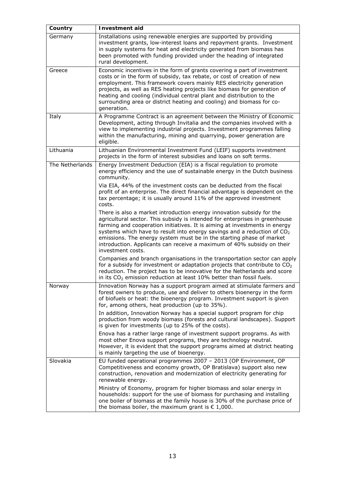| Country         | <b>Investment aid</b>                                                                                                                                                                                                                                                                                                                                                                                                                                                                  |
|-----------------|----------------------------------------------------------------------------------------------------------------------------------------------------------------------------------------------------------------------------------------------------------------------------------------------------------------------------------------------------------------------------------------------------------------------------------------------------------------------------------------|
| Germany         | Installations using renewable energies are supported by providing<br>investment grants, low-interest loans and repayment grants. Investment<br>in supply systems for heat and electricity generated from biomass has<br>been promoted with funding provided under the heading of integrated<br>rural development.                                                                                                                                                                      |
| Greece          | Economic incentives in the form of grants covering a part of investment<br>costs or in the form of subsidy, tax rebate, or cost of creation of new<br>employment. This framework covers mainly RES electricity generation<br>projects, as well as RES heating projects like biomass for generation of<br>heating and cooling (individual central plant and distribution to the<br>surrounding area or district heating and cooling) and biomass for co-<br>generation.                 |
| Italy           | A Programme Contract is an agreement between the Ministry of Economic<br>Development, acting through Invitalia and the companies involved with a<br>view to implementing industrial projects. Investment programmes falling<br>within the manufacturing, mining and quarrying, power generation are<br>eligible.                                                                                                                                                                       |
| Lithuania       | Lithuanian Environmental Investment Fund (LEIF) supports investment<br>projects in the form of interest subsidies and loans on soft terms.                                                                                                                                                                                                                                                                                                                                             |
| The Netherlands | Energy Investment Deduction (EIA) is a fiscal regulation to promote<br>energy efficiency and the use of sustainable energy in the Dutch business<br>community.<br>Via EIA, 44% of the investment costs can be deducted from the fiscal<br>profit of an enterprise. The direct financial advantage is dependent on the<br>tax percentage; it is usually around 11% of the approved investment<br>costs.                                                                                 |
|                 | There is also a market introduction energy innovation subsidy for the<br>agricultural sector. This subsidy is intended for enterprises in greenhouse<br>farming and cooperation initiatives. It is aiming at investments in energy<br>systems which have to result into energy savings and a reduction of $CO2$<br>emissions. The energy system must be in the starting phase of market<br>introduction. Applicants can receive a maximum of 40% subsidy on their<br>investment costs. |
|                 | Companies and branch organisations in the transportation sector can apply<br>for a subsidy for investment or adaptation projects that contribute to $CO2$<br>reduction. The project has to be innovative for the Netherlands and score<br>in its $CO2$ emission reduction at least 10% better than fossil fuels.                                                                                                                                                                       |
| Norway          | Innovation Norway has a support program aimed at stimulate farmers and<br>forest owners to produce, use and deliver to others bioenergy in the form<br>of biofuels or heat: the bioenergy program. Investment support is given<br>for, among others, heat production (up to 35%).<br>In addition, Innovation Norway has a special support program for chip                                                                                                                             |
|                 | production from woody biomass (forests and cultural landscapes). Support<br>is given for investments (up to 25% of the costs).                                                                                                                                                                                                                                                                                                                                                         |
|                 | Enova has a rather large range of investment support programs. As with<br>most other Enova support programs, they are technology neutral.<br>However, it is evident that the support programs aimed at district heating<br>is mainly targeting the use of bioenergy.                                                                                                                                                                                                                   |
| Slovakia        | EU funded operational programmes 2007 - 2013 (OP Environment, OP<br>Competitiveness and economy growth, OP Bratislava) support also new<br>construction, renovation and modernization of electricity generating for<br>renewable energy.                                                                                                                                                                                                                                               |
|                 | Ministry of Economy, program for higher biomass and solar energy in<br>households: support for the use of biomass for purchasing and installing<br>one boiler of biomass at the family house is 30% of the purchase price of<br>the biomass boiler, the maximum grant is $\epsilon$ 1,000.                                                                                                                                                                                             |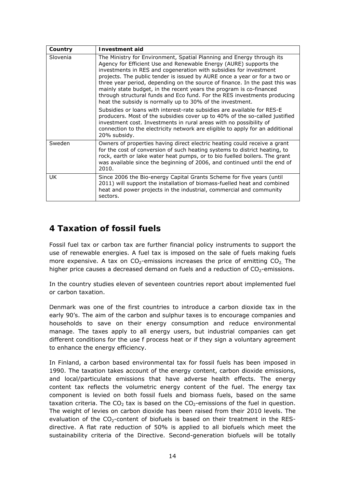| Country  | Investment aid                                                                                                                                                                                                                                                                                                                                                                                                                                                                                                                                                                              |
|----------|---------------------------------------------------------------------------------------------------------------------------------------------------------------------------------------------------------------------------------------------------------------------------------------------------------------------------------------------------------------------------------------------------------------------------------------------------------------------------------------------------------------------------------------------------------------------------------------------|
| Slovenia | The Ministry for Environment, Spatial Planning and Energy through its<br>Agency for Efficient Use and Renewable Energy (AURE) supports the<br>investments in RES and cogeneration with subsidies for investment<br>projects. The public tender is issued by AURE once a year or for a two or<br>three year period, depending on the source of finance. In the past this was<br>mainly state budget, in the recent years the program is co-financed<br>through structural funds and Eco fund. For the RES investments producing<br>heat the subsidy is normally up to 30% of the investment. |
|          | Subsidies or loans with interest-rate subsidies are available for RES-E<br>producers. Most of the subsidies cover up to 40% of the so-called justified<br>investment cost. Investments in rural areas with no possibility of<br>connection to the electricity network are eligible to apply for an additional<br>20% subsidy.                                                                                                                                                                                                                                                               |
| Sweden   | Owners of properties having direct electric heating could receive a grant<br>for the cost of conversion of such heating systems to district heating, to<br>rock, earth or lake water heat pumps, or to bio fuelled boilers. The grant<br>was available since the beginning of 2006, and continued until the end of<br>2010.                                                                                                                                                                                                                                                                 |
| UK       | Since 2006 the Bio-energy Capital Grants Scheme for five years (until<br>2011) will support the installation of biomass-fuelled heat and combined<br>heat and power projects in the industrial, commercial and community<br>sectors.                                                                                                                                                                                                                                                                                                                                                        |

#### **4 Taxation of fossil fuels**

Fossil fuel tax or carbon tax are further financial policy instruments to support the use of renewable energies. A fuel tax is imposed on the sale of fuels making fuels more expensive. A tax on  $CO<sub>2</sub>$ -emissions increases the price of emitting  $CO<sub>2</sub>$ . The higher price causes a decreased demand on fuels and a reduction of  $CO<sub>2</sub>$ -emissions.

In the country studies eleven of seventeen countries report about implemented fuel or carbon taxation.

*Denmark* was one of the first countries to introduce a carbon dioxide tax in the early 90's. The aim of the carbon and sulphur taxes is to encourage companies and households to save on their energy consumption and reduce environmental manage. The taxes apply to all energy users, but industrial companies can get different conditions for the use f process heat or if they sign a voluntary agreement to enhance the energy efficiency.

In *Finland*, a carbon based environmental tax for fossil fuels has been imposed in 1990. The taxation takes account of the energy content, carbon dioxide emissions, and local/particulate emissions that have adverse health effects. The energy content tax reflects the volumetric energy content of the fuel. The energy tax component is levied on both fossil fuels and biomass fuels, based on the same taxation criteria. The  $CO<sub>2</sub>$  tax is based on the  $CO<sub>2</sub>$ -emissions of the fuel in question. The weight of levies on carbon dioxide has been raised from their 2010 levels. The evaluation of the  $CO_2$ -content of biofuels is based on their treatment in the RESdirective. A flat rate reduction of 50% is applied to all biofuels which meet the sustainability criteria of the Directive. Second-generation biofuels will be totally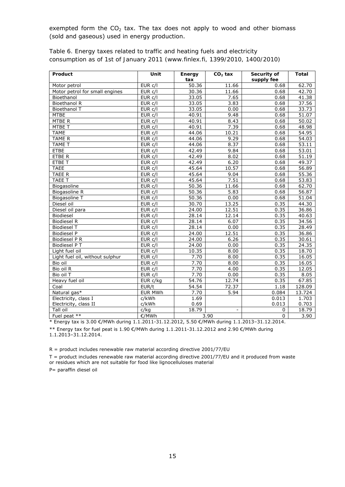exempted form the  $CO<sub>2</sub>$  tax. The tax does not apply to wood and other biomass (sold and gaseous) used in energy production.

| Product                         | Unit           | Energy<br>tax | $CO2$ tax                | Security of<br>supply fee | <b>Total</b> |
|---------------------------------|----------------|---------------|--------------------------|---------------------------|--------------|
| Motor petrol                    | EUR c/l        | 50.36         | 11.66                    | 0.68                      | 62.70        |
| Motor petrol for small engines  | EUR C/I        | 30.36         | 11.66                    | 0.68                      | 42.70        |
| Bioethanol                      | EUR c/l        | 33.05         | 7.65                     | 0.68                      | 41.38        |
| Bioethanol R                    | EUR c/l        | 33.05         | 3.83                     | 0.68                      | 37.56        |
| Bioethanol T                    | EUR c/l        | 33.05         | 0.00                     | 0.68                      | 33.73        |
| <b>MTBE</b>                     | EUR c/l        | 40.91         | 9.48                     | 0.68                      | 51.07        |
| MTBE R                          | EUR c/l        | 40.91         | 8.43                     | 0.68                      | 50.02        |
| MTBE T                          | EUR c/l        | 40.91         | 7.39                     | 0.68                      | 48.98        |
| <b>TAME</b>                     | EUR c/l        | 44.06         | 10.21                    | 0.68                      | 54.95        |
| <b>TAME R</b>                   | EUR C/I        | 44.06         | 9.29                     | 0.68                      | 54.03        |
| TAME T                          | EUR C/I        | 44.06         | 8.37                     | 0.68                      | 53.11        |
| <b>ETBE</b>                     | EUR c/l        | 42.49         | 9.84                     | 0.68                      | 53.01        |
| ETBE R                          | EUR c/l        | 42.49         | 8.02                     | 0.68                      | 51.19        |
| <b>ETBE T</b>                   | EUR c/l        | 42.49         | 6.20                     | 0.68                      | 49.37        |
| <b>TAEE</b>                     | EURc/I         | 45.64         | 10.57                    | 0.68                      | 56.89        |
| <b>TAEE R</b>                   | EUR c/l        | 45.64         | 9.04                     | 0.68                      | 55.36        |
| TAEE T                          | EUR c/l        | 45.64         | 7.51                     | 0.68                      | 53.83        |
| Biogasoline                     | EUR c/l        | 50.36         | 11.66                    | 0.68                      | 62.70        |
| Biogasoline R                   | $EUR$ $c/I$    | 50.36         | 5.83                     | 0.68                      | 56.87        |
| <b>Biogasoline T</b>            | EUR c/l        | 50.36         | 0.00                     | 0.68                      | 51.04        |
| Diesel oil                      | EUR c/l        | 30.70         | 13.25                    | 0.35                      | 44.30        |
| Diesel oil para                 | EUR c/l        | 24.00         | 12.51                    | 0.35                      | 36.86        |
| Biodiesel                       | EUR c/l        | 28.14         | 12.14                    | 0.35                      | 40.63        |
| <b>Biodiesel R</b>              | EUR C/I        | 28.14         | 6.07                     | 0.35                      | 34.56        |
| <b>Biodiesel T</b>              | EUR C/I        | 28.14         | 0.00                     | 0.35                      | 28.49        |
| <b>Biodiesel P</b>              | EUR C/I        | 24.00         | 12.51                    | 0.35                      | 36.86        |
| Biodiesel P R                   | EUR c/l        | 24.00         | 6.26                     | 0.35                      | 30.61        |
| Biodiesel PT                    | EUR c/l        | 24.00         | 0.00                     | 0.35                      | 24.35        |
| Light fuel oil                  | EUR c/l        | 10.35         | 8.00                     | 0.35                      | 18.70        |
| Light fuel oil, without sulphur | EUR C/I        | 7.70          | 8.00                     | 0.35                      | 16.05        |
| Bio oil                         | EUR C/I        | 7.70          | 8.00                     | 0.35                      | 16.05        |
| Bio oil R                       | EUR c/l        | 7.70          | 4.00                     | 0.35                      | 12.05        |
| Bio oil T                       | EUR c/l        | 7.70          | 0.00                     | 0.35                      | 8.05         |
| Heavy fuel oil                  | $EUR$ c/kg     | 54.76         | 12.74                    | 0.35                      | 67.85        |
| Coal                            | EUR/t          | 54.54         | 72.37                    | 1.18                      | 128.09       |
| Natural gas*                    | <b>EUR MWh</b> | 7.70          | 5.94                     | 0.084                     | 13.724       |
| Electricity, class I            | c/kWh          | 1.69          |                          | 0.013                     | 1.703        |
| Electricity, class II           | c/kWh          | 0.69          |                          | 0.013                     | 0.703        |
| Tall oil                        | c/kg           | 18.79         | $\overline{\phantom{0}}$ | 0                         | 18.79        |
| Fuel peat **                    | €/MWh          |               | 3.90                     | $\mathbf 0$               | 3.90         |

*Table 6. Energy taxes related to traffic and heating fuels and electricity consumption as of 1st of January 2011 (www.finlex.fi, 1399/2010, 1400/2010)*

\* Energy tax is 3.00 €/MWh during 1.1.2011-31.12.2012, 5.50 €/MWh during 1.1.2013–31.12.2014.

\*\* Energy tax for fuel peat is 1.90 €/MWh during 1.1.2011-31.12.2012 and 2.90 €/MWh during 1.1.2013–31.12.2014.

R = product includes renewable raw material according directive 2001/77/EU

T = product includes renewable raw material according directive 2001/77/EU and it produced from waste or residues which are not suitable for food like lignocelluloses material

P= paraffin diesel oil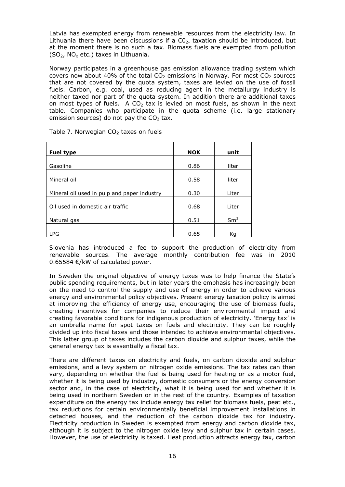*Latvia* has exempted energy from renewable resources from the electricity law. In Lithuania there have been discussions if a  $CO<sub>2</sub>$  taxation should be introduced, but at the moment there is no such a tax. Biomass fuels are exempted from pollution  $(SO<sub>2</sub>, NO<sub>x</sub> etc.)$  taxes in Lithuania.

*Norway* participates in a greenhouse gas emission allowance trading system which covers now about 40% of the total  $CO<sub>2</sub>$  emissions in Norway. For most  $CO<sub>2</sub>$  sources that are not covered by the quota system, taxes are levied on the use of fossil fuels. Carbon, e.g. coal, used as reducing agent in the metallurgy industry is neither taxed nor part of the quota system. In addition there are additional taxes on most types of fuels. A  $CO<sub>2</sub>$  tax is levied on most fuels, as shown in the next table. Companies who participate in the quota scheme (i.e. large stationary emission sources) do not pay the  $CO<sub>2</sub>$  tax.

| <b>Fuel type</b>                            | <b>NOK</b> | unit            |
|---------------------------------------------|------------|-----------------|
| Gasoline                                    | 0.86       | liter           |
| Mineral oil                                 | 0.58       | liter           |
| Mineral oil used in pulp and paper industry | 0.30       | Liter           |
| Oil used in domestic air traffic            | 0.68       | Liter           |
| Natural gas                                 | 0.51       | Sm <sup>3</sup> |
| LPG                                         | 0.65       | Кq              |

|  |  | Table 7. Norwegian CO <sub>2</sub> taxes on fuels |
|--|--|---------------------------------------------------|
|--|--|---------------------------------------------------|

*Slovenia* has introduced a fee to support the production of electricity from renewable sources. The average monthly contribution fee was in 2010 0.65584 €/kW of calculated power.

In *Sweden* the original objective of energy taxes was to help finance the State's public spending requirements, but in later years the emphasis has increasingly been on the need to control the supply and use of energy in order to achieve various energy and environmental policy objectives. Present energy taxation policy is aimed at improving the efficiency of energy use, encouraging the use of biomass fuels, creating incentives for companies to reduce their environmental impact and creating favorable conditions for indigenous production of electricity. 'Energy tax' is an umbrella name for spot taxes on fuels and electricity. They can be roughly divided up into fiscal taxes and those intended to achieve environmental objectives. This latter group of taxes includes the carbon dioxide and sulphur taxes, while the general energy tax is essentially a fiscal tax.

There are different taxes on electricity and fuels, on carbon dioxide and sulphur emissions, and a levy system on nitrogen oxide emissions. The tax rates can then vary, depending on whether the fuel is being used for heating or as a motor fuel, whether it is being used by industry, domestic consumers or the energy conversion sector and, in the case of electricity, what it is being used for and whether it is being used in northern Sweden or in the rest of the country. Examples of taxation expenditure on the energy tax include energy tax relief for biomass fuels, peat etc., tax reductions for certain environmentally beneficial improvement installations in detached houses, and the reduction of the carbon dioxide tax for industry. Electricity production in Sweden is exempted from energy and carbon dioxide tax, although it is subject to the nitrogen oxide levy and sulphur tax in certain cases. However, the use of electricity is taxed. Heat production attracts energy tax, carbon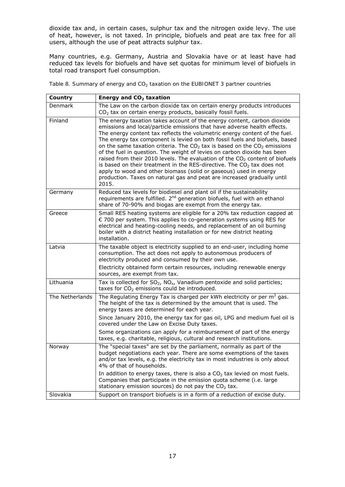dioxide tax and, in certain cases, sulphur tax and the nitrogen oxide levy. The use of heat, however, is not taxed. In principle, biofuels and peat are tax free for all users, although the use of peat attracts sulphur tax.

Many countries, e.g. Germany, Austria and Slovakia have or at least have had reduced tax levels for biofuels and have set quotas for minimum level of biofuels in total road transport fuel consumption.

Table 8. Summary of energy and CO<sub>2</sub> taxation on the EUBIONET 3 partner countries

| Country         | Energy and $CO2$ taxation                                                                                                                                                                                                                                                                                                                                                                                                                                                                                                                                                                                                                                                                                                                                                                           |
|-----------------|-----------------------------------------------------------------------------------------------------------------------------------------------------------------------------------------------------------------------------------------------------------------------------------------------------------------------------------------------------------------------------------------------------------------------------------------------------------------------------------------------------------------------------------------------------------------------------------------------------------------------------------------------------------------------------------------------------------------------------------------------------------------------------------------------------|
| <b>Denmark</b>  | The Law on the carbon dioxide tax on certain energy products introduces<br>$CO2$ tax on certain energy products, basically fossil fuels.                                                                                                                                                                                                                                                                                                                                                                                                                                                                                                                                                                                                                                                            |
| Finland         | The energy taxation takes account of the energy content, carbon dioxide<br>emissions and local/particle emissions that have adverse health effects.<br>The energy content tax reflects the volumetric energy content of the fuel.<br>The energy tax component is levied on both fossil fuels and biofuels, based<br>on the same taxation criteria. The $CO2$ tax is based on the $CO2$ emissions<br>of the fuel in question. The weight of levies on carbon dioxide has been<br>raised from their 2010 levels. The evaluation of the $CO2$ content of biofuels<br>is based on their treatment in the RES-directive. The $CO2$ tax does not<br>apply to wood and other biomass (solid or gaseous) used in energy<br>production. Taxes on natural gas and peat are increased gradually until<br>2015. |
| Germany         | Reduced tax levels for biodiesel and plant oil if the sustainability<br>requirements are fulfilled. 2 <sup>nd</sup> generation biofuels, fuel with an ethanol<br>share of 70-90% and biogas are exempt from the energy tax.                                                                                                                                                                                                                                                                                                                                                                                                                                                                                                                                                                         |
| Greece          | Small RES heating systems are eligible for a 20% tax reduction capped at<br>$\epsilon$ 700 per system. This applies to co-generation systems using RES for<br>electrical and heating-cooling needs, and replacement of an oil burning<br>boiler with a district heating installation or for new district heating<br>installation.                                                                                                                                                                                                                                                                                                                                                                                                                                                                   |
| Latvia          | The taxable object is electricity supplied to an end-user, including home<br>consumption. The act does not apply to autonomous producers of<br>electricity produced and consumed by their own use.<br>Electricity obtained form certain resources, including renewable energy                                                                                                                                                                                                                                                                                                                                                                                                                                                                                                                       |
| Lithuania       | sources, are exempt from tax.<br>Tax is collected for $SO_2$ , $NO_{x}$ , Vanadium pentoxide and solid particles;<br>taxes for $CO2$ emissions could be introduced.                                                                                                                                                                                                                                                                                                                                                                                                                                                                                                                                                                                                                                 |
| The Netherlands | The Regulating Energy Tax is charged per kWh electricity or per $m3$ gas.<br>The height of the tax is determined by the amount that is used. The<br>energy taxes are determined for each year.<br>Since January 2010, the energy tax for gas oil, LPG and medium fuel oil is<br>covered under the Law on Excise Duty taxes.                                                                                                                                                                                                                                                                                                                                                                                                                                                                         |
|                 | Some organizations can apply for a reimbursement of part of the energy<br>taxes, e.g. charitable, religious, cultural and research institutions.                                                                                                                                                                                                                                                                                                                                                                                                                                                                                                                                                                                                                                                    |
| Norway          | The "special taxes" are set by the parliament, normally as part of the<br>budget negotiations each year. There are some exemptions of the taxes<br>and/or tax levels, e.g. the electricity tax in most industries is only about<br>4% of that of households.                                                                                                                                                                                                                                                                                                                                                                                                                                                                                                                                        |
|                 | In addition to energy taxes, there is also a $CO2$ tax levied on most fuels.<br>Companies that participate in the emission quota scheme (i.e. large<br>stationary emission sources) do not pay the $CO2$ tax.                                                                                                                                                                                                                                                                                                                                                                                                                                                                                                                                                                                       |
| Slovakia        | Support on transport biofuels is in a form of a reduction of excise duty.                                                                                                                                                                                                                                                                                                                                                                                                                                                                                                                                                                                                                                                                                                                           |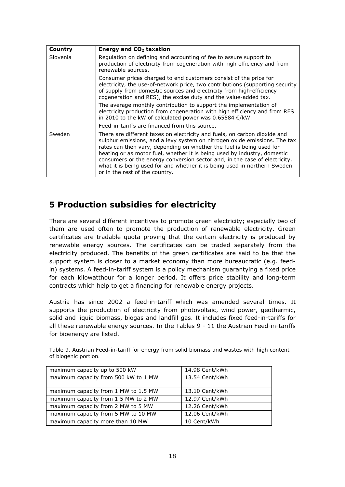| Country  | Energy and $CO2$ taxation                                                                                                                                                                                                                                                                                                                                                                                                                                                                               |
|----------|---------------------------------------------------------------------------------------------------------------------------------------------------------------------------------------------------------------------------------------------------------------------------------------------------------------------------------------------------------------------------------------------------------------------------------------------------------------------------------------------------------|
| Slovenia | Regulation on defining and accounting of fee to assure support to<br>production of electricity from cogeneration with high efficiency and from<br>renewable sources.                                                                                                                                                                                                                                                                                                                                    |
|          | Consumer prices charged to end customers consist of the price for<br>electricity, the use-of-network price, two contributions (supporting security<br>of supply from domestic sources and electricity from high-efficiency<br>cogeneration and RES), the excise duty and the value-added tax.                                                                                                                                                                                                           |
|          | The average monthly contribution to support the implementation of<br>electricity production from cogeneration with high efficiency and from RES<br>in 2010 to the kW of calculated power was 0.65584 $\epsilon$ /kW.                                                                                                                                                                                                                                                                                    |
|          | Feed-in-tariffs are financed from this source.                                                                                                                                                                                                                                                                                                                                                                                                                                                          |
| Sweden   | There are different taxes on electricity and fuels, on carbon dioxide and<br>sulphur emissions, and a levy system on nitrogen oxide emissions. The tax<br>rates can then vary, depending on whether the fuel is being used for<br>heating or as motor fuel, whether it is being used by industry, domestic<br>consumers or the energy conversion sector and, in the case of electricity,<br>what it is being used for and whether it is being used in northern Sweden<br>or in the rest of the country. |

#### **5 Production subsidies for electricity**

There are several different incentives to promote green electricity; especially two of them are used often to promote the production of renewable electricity. Green certificates are tradable quota proving that the certain electricity is produced by renewable energy sources. The certificates can be traded separately from the electricity produced. The benefits of the green certificates are said to be that the support system is closer to a market economy than more bureaucratic (e.g. feedin) systems. A feed-in-tariff system is a policy mechanism guarantying a fixed price for each kilowatthour for a longer period. It offers price stability and long-term contracts which help to get a financing for renewable energy projects.

*Austria* has since 2002 a feed-in-tariff which was amended several times. It supports the production of electricity from photovoltaic, wind power, geothermic, solid and liquid biomass, biogas and landfill gas. It includes fixed feed-in-tariffs for all these renewable energy sources. In the Tables 9 - 11 the Austrian Feed-in-tariffs for bioenergy are listed.

| maximum capacity up to 500 kW        | 14.98 Cent/kWh |
|--------------------------------------|----------------|
| maximum capacity from 500 kW to 1 MW | 13.54 Cent/kWh |
|                                      |                |
| maximum capacity from 1 MW to 1.5 MW | 13.10 Cent/kWh |
| maximum capacity from 1.5 MW to 2 MW | 12.97 Cent/kWh |
| maximum capacity from 2 MW to 5 MW   | 12.26 Cent/kWh |
| maximum capacity from 5 MW to 10 MW  | 12.06 Cent/kWh |
| maximum capacity more than 10 MW     | 10 Cent/kWh    |

*Table 9. Austrian Feed-in-tariff for energy from solid biomass and wastes with high content of biogenic portion.*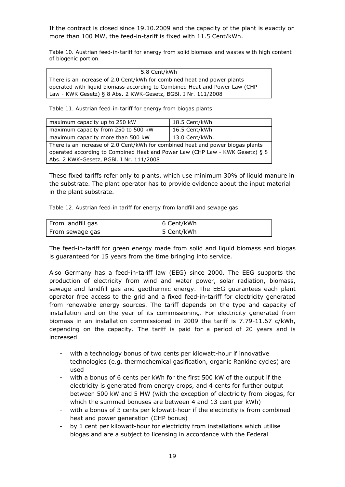If the contract is closed since 19.10.2009 and the capacity of the plant is exactly or more than 100 MW, the feed-in-tariff is fixed with 11.5 Cent/kWh.

*Table 10. Austrian feed-in-tariff for energy from solid biomass and wastes with high content of biogenic portion.* 

| 5.8 Cent/kWh                                                               |
|----------------------------------------------------------------------------|
| There is an increase of 2.0 Cent/kWh for combined heat and power plants    |
| operated with liquid biomass according to Combined Heat and Power Law (CHP |
| Law - KWK Gesetz) § 8 Abs. 2 KWK-Gesetz, BGBI. I Nr. 111/2008              |

*Table 11. Austrian feed-in-tariff for energy from biogas plants* 

| maximum capacity up to 250 kW                                                  | 18.5 Cent/kWh  |  |  |  |  |
|--------------------------------------------------------------------------------|----------------|--|--|--|--|
| maximum capacity from 250 to 500 kW                                            | 16.5 Cent/kWh  |  |  |  |  |
| maximum capacity more than 500 kW                                              | 13.0 Cent/kWh. |  |  |  |  |
| There is an increase of 2.0 Cent/kWh for combined heat and power biogas plants |                |  |  |  |  |
| operated according to Combined Heat and Power Law (CHP Law - KWK Gesetz) § 8   |                |  |  |  |  |
| Abs. 2 KWK-Gesetz, BGBI. I Nr. 111/2008                                        |                |  |  |  |  |

These fixed tariffs refer only to plants, which use minimum 30% of liquid manure in the substrate. The plant operator has to provide evidence about the input material in the plant substrate.

|  | Table 12. Austrian feed-in tariff for energy from landfill and sewage gas |  |  |  |  |  |
|--|---------------------------------------------------------------------------|--|--|--|--|--|
|  |                                                                           |  |  |  |  |  |

| From landfill gas | 6 Cent/kWh |
|-------------------|------------|
| From sewage gas   | 5 Cent/kWh |

The feed-in-tariff for green energy made from solid and liquid biomass and biogas is guaranteed for 15 years from the time bringing into service.

Also *Germany* has a feed-in-tariff law (EEG) since 2000. The EEG supports the production of electricity from wind and water power, solar radiation, biomass, sewage and landfill gas and geothermic energy. The EEG guarantees each plant operator free access to the grid and a fixed feed-in-tariff for electricity generated from renewable energy sources. The tariff depends on the type and capacity of installation and on the year of its commissioning. For electricity generated from biomass in an installation commissioned in 2009 the tariff is 7.79-11.67 c/kWh, depending on the capacity. The tariff is paid for a period of 20 years and is increased

- with a technology bonus of two cents per kilowatt-hour if innovative technologies (e.g. thermochemical gasification, organic Rankine cycles) are used
- with a bonus of 6 cents per kWh for the first 500 kW of the output if the electricity is generated from energy crops, and 4 cents for further output between 500 kW and 5 MW (with the exception of electricity from biogas, for which the summed bonuses are between 4 and 13 cent per kWh)
- with a bonus of 3 cents per kilowatt-hour if the electricity is from combined heat and power generation (CHP bonus)
- by 1 cent per kilowatt-hour for electricity from installations which utilise biogas and are a subject to licensing in accordance with the Federal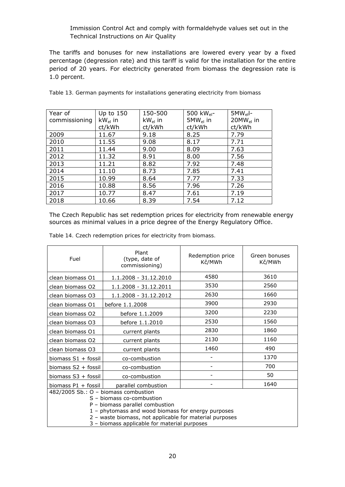#### Immission Control Act and comply with formaldehyde values set out in the Technical Instructions on Air Quality

The tariffs and bonuses for new installations are lowered every year by a fixed percentage (degression rate) and this tariff is valid for the installation for the entire period of 20 years. For electricity generated from biomass the degression rate is 1.0 percent.

| Year of       | Up to 150    | 150-500      | 500 kW <sub>el</sub> - | $5MW_{el}$ -   |
|---------------|--------------|--------------|------------------------|----------------|
| commissioning | $kW_{el}$ in | $kW_{el}$ in | $5MW_{el}$ in          | $20MW_{el}$ in |
|               | ct/kWh       | ct/kWh       | ct/kWh                 | ct/kWh         |
| 2009          | 11.67        | 9.18         | 8.25                   | 7.79           |
| 2010          | 11.55        | 9.08         | 8.17                   | 7.71           |
| 2011          | 11.44        | 9.00         | 8.09                   | 7.63           |
| 2012          | 11.32        | 8.91         | 8.00                   | 7.56           |
| 2013          | 11.21        | 8.82         | 7.92                   | 7.48           |
| 2014          | 11.10        | 8.73         | 7.85                   | 7.41           |
| 2015          | 10.99        | 8.64         | 7.77                   | 7.33           |
| 2016          | 10.88        | 8.56         | 7.96                   | 7.26           |
| 2017          | 10.77        | 8.47         | 7.61                   | 7.19           |
| 2018          | 10.66        | 8.39         | 7.54                   | 7.12           |

|  |  |  | Table 13. German payments for installations generating electricity from biomass |
|--|--|--|---------------------------------------------------------------------------------|
|  |  |  |                                                                                 |

The *Czech Republic* has set redemption prices for electricity from renewable energy sources as minimal values in a price degree of the Energy Regulatory Office.

| Fuel                                                                                                                                                       | Plant<br>(type, date of<br>commissioning) | Redemption price<br>Kč/MWh | Green bonuses<br>Kč/MWh |  |  |
|------------------------------------------------------------------------------------------------------------------------------------------------------------|-------------------------------------------|----------------------------|-------------------------|--|--|
| clean biomass O1                                                                                                                                           | 1.1.2008 - 31.12.2010                     | 4580                       | 3610                    |  |  |
| clean biomass O2                                                                                                                                           | 1.1.2008 - 31.12.2011                     | 3530                       | 2560                    |  |  |
| clean biomass O3                                                                                                                                           | 1.1.2008 - 31.12.2012                     | 2630                       | 1660                    |  |  |
| clean biomass O1                                                                                                                                           | before 1.1.2008                           | 3900                       | 2930                    |  |  |
| clean biomass O2                                                                                                                                           | before 1.1.2009                           | 3200                       | 2230                    |  |  |
| clean biomass O3                                                                                                                                           | before 1.1.2010                           | 2530                       | 1560                    |  |  |
| clean biomass O1                                                                                                                                           | current plants                            | 2830                       | 1860                    |  |  |
| clean biomass O2                                                                                                                                           | current plants                            | 2130                       | 1160                    |  |  |
| clean biomass O3                                                                                                                                           | current plants                            | 1460                       | 490                     |  |  |
| biomass S1 + fossil                                                                                                                                        | co-combustion                             |                            | 1370                    |  |  |
| biomass S2 + fossil                                                                                                                                        | co-combustion                             |                            | 700                     |  |  |
| biomass S3 + fossil                                                                                                                                        | co-combustion                             |                            | 50                      |  |  |
| biomass P1 + fossil                                                                                                                                        | parallel combustion                       |                            | 1640                    |  |  |
| 482/2005 Sb.: O - biomass combustion<br>S - biomass co-combustion<br>P - biomass parallel combustion<br>1 - phytomass and wood biomass for energy purposes |                                           |                            |                         |  |  |

|  | Table 14. Czech redemption prices for electricity from biomass. |
|--|-----------------------------------------------------------------|
|--|-----------------------------------------------------------------|

 2 – waste biomass, not applicable for material purposes 3 – biomass applicable for material purposes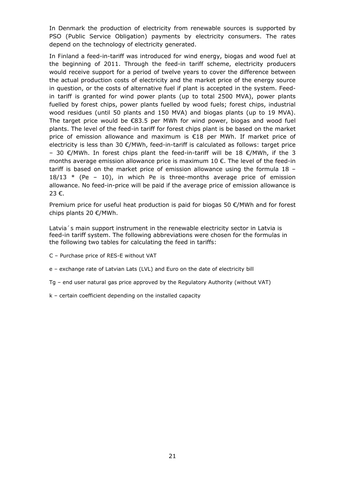In *Denmark* the production of electricity from renewable sources is supported by PSO (Public Service Obligation) payments by electricity consumers. The rates depend on the technology of electricity generated.

In *Finland* a feed-in-tariff was introduced for wind energy, biogas and wood fuel at the beginning of 2011. Through the feed-in tariff scheme, electricity producers would receive support for a period of twelve years to cover the difference between the actual production costs of electricity and the market price of the energy source in question, or the costs of alternative fuel if plant is accepted in the system. Feedin tariff is granted for wind power plants (up to total 2500 MVA), power plants fuelled by forest chips, power plants fuelled by wood fuels; forest chips, industrial wood residues (until 50 plants and 150 MVA) and biogas plants (up to 19 MVA). The target price would be  $\epsilon$ 83.5 per MWh for wind power, biogas and wood fuel plants. The level of the feed-in tariff for forest chips plant is be based on the market price of emission allowance and maximum is €18 per MWh. If market price of electricity is less than 30 €/MWh, feed-in-tariff is calculated as follows: target price - 30 €/MWh. In forest chips plant the feed-in-tariff will be 18 €/MWh, if the 3 months average emission allowance price is maximum 10 €. The level of the feed-in tariff is based on the market price of emission allowance using the formula 18 –  $18/13$  \* (Pe - 10), in which Pe is three-months average price of emission allowance. No feed-in-price will be paid if the average price of emission allowance is 23 €.

Premium price for useful heat production is paid for biogas 50 €/MWh and for forest chips plants 20 €/MWh.

*Latvia´s* main support instrument in the renewable electricity sector in Latvia is feed-in tariff system. The following abbreviations were chosen for the formulas in the following two tables for calculating the feed in tariffs:

- C Purchase price of RES-E without VAT
- e exchange rate of Latvian Lats (LVL) and Euro on the date of electricity bill
- Tg end user natural gas price approved by the Regulatory Authority (without VAT)
- k certain coefficient depending on the installed capacity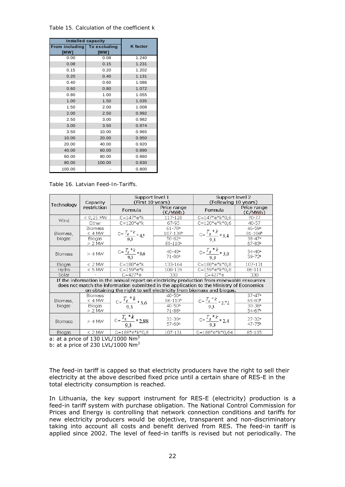*Table 15. Calculation of the coefficient k* 

|                                     | <b>Installed capacity</b> |          |  |
|-------------------------------------|---------------------------|----------|--|
| From including To excluding<br>[MW] | [MW]                      | K factor |  |
| 0.00                                | 0.08                      | 1.240    |  |
| 0.08                                | 0.15                      | 1.231    |  |
| 0.15                                | 0.20                      | 1.202    |  |
| 0.20                                | 0.40                      | 1.131    |  |
| 0.40                                | 0.60                      | 1.086    |  |
| 0.60                                | 0.80                      | 1.072    |  |
| 0.80                                | 1.00                      | 1.055    |  |
| 1.00                                | 1.50                      | 1.035    |  |
| 1.50                                | 2.00                      | 1.008    |  |
| 2.00                                | 2.50                      | 0.992    |  |
| 2.50                                | 3.00                      | 0.982    |  |
| 3.00                                | 3.50                      | 0.974    |  |
| 3.50                                | 10.00                     | 0.965    |  |
| 10.00                               | 20.00                     | 0.950    |  |
| 20.00                               | 40.00                     | 0.920    |  |
| 40.00                               | 60.00                     | 0.890    |  |
| 60.00                               | 80.00                     | 0.860    |  |
| 80.00                               | 100.00                    | 0.830    |  |
| 100.00                              |                           | 0.800    |  |

*Table 16. Latvian Feed-In-Tariffs.* 

|                | Capacity                                                                                                                                                                                                                                                      | Support level 1<br>(First 10 years) |                                               | Support level 2<br>(Following 10 years) |                                      |  |
|----------------|---------------------------------------------------------------------------------------------------------------------------------------------------------------------------------------------------------------------------------------------------------------|-------------------------------------|-----------------------------------------------|-----------------------------------------|--------------------------------------|--|
| Technology     | restriction                                                                                                                                                                                                                                                   | Formula                             | Price range<br>$(\varepsilon$ /MWh)           | Formula                                 | Price range<br>$(\varepsilon$ /MWh)  |  |
| Wind           | $< 0.25$ MW                                                                                                                                                                                                                                                   | $C = 147*e*k$                       | 117-128                                       | $C = 147*e*k*0.6$                       | 70-77                                |  |
|                | Other                                                                                                                                                                                                                                                         | $C = 120*e*k$                       | 67-95                                         | $C = 120*e*k*0.6$                       | 40-57                                |  |
| Biomass,       | <b>Biomass</b><br>$<$ 4 MW                                                                                                                                                                                                                                    | $C = \frac{T_s * k}{9.3} * 4.5$     | $61 - 78$ <sup>a</sup><br>107-138b            | $C = \frac{T_g * k}{9.3} * 3.4$         | $46 - 59$ <sup>a</sup><br>$81 - 104$ |  |
| biogas         | <b>Biogas</b><br>$> 2$ MW                                                                                                                                                                                                                                     |                                     | $50 - 62$ <sup>a</sup><br>89-110 <sup>b</sup> |                                         | $38 - 47$ <sup>a</sup><br>67-83b     |  |
| <b>Biomass</b> | $> 4$ MW                                                                                                                                                                                                                                                      | $C = \frac{T_g * k}{9.3} * 3.6$     | $40 - 49$ <sup>a</sup><br>71-86 <sup>b</sup>  | $C = \frac{T_g * k}{9,3} * 3,0$         | $34 - 40$ <sup>a</sup><br>59-72b     |  |
| Biogas         | $< 2$ MW                                                                                                                                                                                                                                                      | $C = 188*e*k$                       | 133-164                                       | C=188*e*k*0,8                           | 107-131                              |  |
| Hydro          | $<$ 5 MW                                                                                                                                                                                                                                                      | $C = 159*e*k$                       | 108-139                                       | $C = 159*e*k*0.8$                       | 86-111                               |  |
| Solar          |                                                                                                                                                                                                                                                               | $C = 427*e$                         | 330                                           | $C = 427*e$                             | 330                                  |  |
|                | If the information in the annual report on electricity production from renewable resources<br>does not match the information submitted in the application to the Ministry of Economics<br>on obtaining the right to sell electricity from biomass and biogas. |                                     |                                               |                                         |                                      |  |
| Biomass,       | <b>Biomass</b><br>$<$ 4 MW                                                                                                                                                                                                                                    | $C = \frac{T_g * k}{9.3} * 3.6$     | $40 - 50$ <sup>a</sup><br>$86 - 110b$         | $C = \frac{T_g * k}{9.3} * 2.72$        | $37 - 47$ <sup>a</sup><br>$65 - 83b$ |  |
| biogas         | Biogas<br>$> 2$ MW                                                                                                                                                                                                                                            |                                     | $40 - 50$ <sup>a</sup><br>71-88b              |                                         | $30 - 38$ <sup>a</sup><br>54-67b     |  |
| <b>Biomass</b> | $> 4$ MW                                                                                                                                                                                                                                                      | $C = \frac{T_g * k}{9.3}$ * 2,88    | 32-39*<br>57-69b                              | $C = \frac{T_g * k}{9.3} * 2.4$         | $27 - 32a$<br>47-75 <sup>b</sup>     |  |
| <b>Biogas</b>  | $<$ 2 MW                                                                                                                                                                                                                                                      | C=188*e*k*0,8                       | 107-131                                       | C=188*e*k*0,64                          | 85-105                               |  |

a: at a price of 130 LVL/1000  $Nm^3$ 

b: at a price of 230 LVL/1000  $Nm^3$ 

The feed-in tariff is capped so that electricity producers have the right to sell their electricity at the above described fixed price until a certain share of RES-E in the total electricity consumption is reached.

In *Lithuania*, the key support instrument for RES-E (electricity) production is a feed-in tariff system with purchase obligation. The National Control Commission for Prices and Energy is controlling that network connection conditions and tariffs for new electricity producers would be objective, transparent and non-discriminatory taking into account all costs and benefit derived from RES. The feed-in tariff is applied since 2002. The level of feed-in tariffs is revised but not periodically. The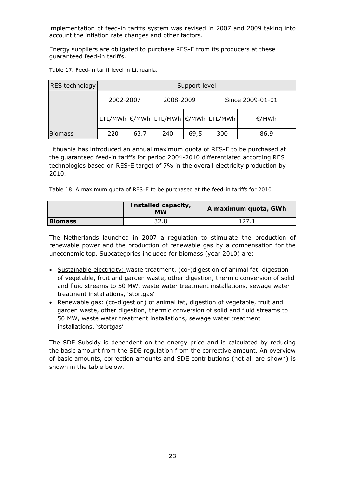implementation of feed-in tariffs system was revised in 2007 and 2009 taking into account the inflation rate changes and other factors.

Energy suppliers are obligated to purchase RES-E from its producers at these guaranteed feed-in tariffs.

| RES technology | Support level |      |                                     |      |                  |       |
|----------------|---------------|------|-------------------------------------|------|------------------|-------|
|                | 2002-2007     |      | 2008-2009                           |      | Since 2009-01-01 |       |
|                |               |      | LTL/MWh €/MWh LTL/MWh €/MWh LTL/MWh |      |                  | €/MWh |
| <b>Biomass</b> | 220           | 63.7 | 240                                 | 69,5 | 300              | 86.9  |

*Table 17. Feed-in tariff level in Lithuania.* 

Lithuania has introduced an annual maximum quota of RES-E to be purchased at the guaranteed feed-in tariffs for period 2004-2010 differentiated according RES technologies based on RES-E target of 7% in the overall electricity production by 2010.

|  | Table 18. A maximum quota of RES-E to be purchased at the feed-in tariffs for 2010 |  |  |  |  |  |
|--|------------------------------------------------------------------------------------|--|--|--|--|--|
|  |                                                                                    |  |  |  |  |  |

|                | Installed capacity,<br><b>MW</b> | A maximum quota, GWh |
|----------------|----------------------------------|----------------------|
| <b>Biomass</b> | 32.8                             | 127 1                |

*The Netherlands* launched in 2007 a regulation to stimulate the production of renewable power and the production of renewable gas by a compensation for the uneconomic top. Subcategories included for biomass (year 2010) are:

- Sustainable electricity: waste treatment, (co-)digestion of animal fat, digestion of vegetable, fruit and garden waste, other digestion, thermic conversion of solid and fluid streams to 50 MW, waste water treatment installations, sewage water treatment installations, 'stortgas'
- Renewable gas: (co-digestion) of animal fat, digestion of vegetable, fruit and garden waste, other digestion, thermic conversion of solid and fluid streams to 50 MW, waste water treatment installations, sewage water treatment installations, 'stortgas'

The SDE Subsidy is dependent on the energy price and is calculated by reducing the basic amount from the SDE regulation from the corrective amount. An overview of basic amounts, correction amounts and SDE contributions (not all are shown) is shown in the table below.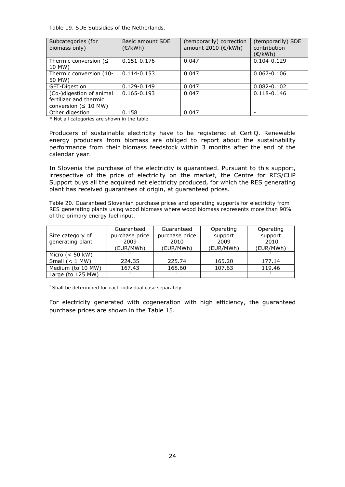*Table 19. SDE Subsidies of the Netherlands.* 

| Subcategories (for<br>biomass only)                                              | Basic amount SDE<br>$(\epsilon/kWh)$ | (temporarily) correction<br>amount 2010 (€/kWh) | (temporarily) SDE<br>contribution<br>(E/kWh) |
|----------------------------------------------------------------------------------|--------------------------------------|-------------------------------------------------|----------------------------------------------|
| Thermic conversion ( $\leq$<br>10 MW)                                            | 0.151-0.176                          | 0.047                                           | $0.104 - 0.129$                              |
| Thermic conversion (10-<br>50 MW)                                                | $0.114 - 0.153$                      | 0.047                                           | $0.067 - 0.106$                              |
| GFT-Digestion                                                                    | 0.129-0.149                          | 0.047                                           | $0.082 - 0.102$                              |
| (Co-)digestion of animal<br>fertilizer and thermic<br>conversion ( $\leq 10$ MW) | $0.165 - 0.193$                      | 0.047                                           | $0.118 - 0.146$                              |
| Other digestion                                                                  | 0.158                                | 0.047                                           |                                              |

\* Not all categories are shown in the table

Producers of sustainable electricity have to be registered at CertiQ. Renewable energy producers from biomass are obliged to report about the sustainability performance from their biomass feedstock within 3 months after the end of the calendar year.

In *Slovenia* the purchase of the electricity is guaranteed. Pursuant to this support, irrespective of the price of electricity on the market, the Centre for RES/CHP Support buys all the acquired net electricity produced, for which the RES generating plant has received guarantees of origin, at guaranteed prices.

*Table 20. Guaranteed Slovenian purchase prices and operating supports for electricity from RES generating plants using wood biomass where wood biomass represents more than 90% of the primary energy fuel input.* 

| Size category of<br>generating plant | Guaranteed<br>purchase price<br>2009<br>(EUR/MWh) | Guaranteed<br>purchase price<br>2010<br>(EUR/MWh) | Operating<br>support<br>2009<br>(EUR/MWh) | Operating<br>support<br>2010<br>(EUR/MWh) |
|--------------------------------------|---------------------------------------------------|---------------------------------------------------|-------------------------------------------|-------------------------------------------|
| Micro $(< 50$ kW)                    |                                                   |                                                   |                                           |                                           |
| Small $(< 1$ MW)                     | 224.35                                            | 225.74                                            | 165.20                                    | 177.14                                    |
| Medium (to 10 MW)                    | 167.43                                            | 168.60                                            | 107.63                                    | 119.46                                    |
| Large (to $125$ MW)                  |                                                   |                                                   |                                           |                                           |

 $1$  Shall be determined for each individual case separately.

For electricity generated with cogeneration with high efficiency, the guaranteed purchase prices are shown in the Table 15.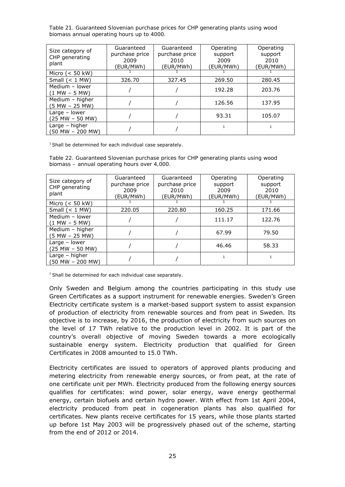*Table 21. Guaranteed Slovenian purchase prices for CHP generating plants using wood biomass annual operating hours up to 4000.* 

| Size category of<br>CHP generating<br>plant | Guaranteed<br>purchase price<br>2009<br>(EUR/MWh) | Guaranteed<br>purchase price<br>2010<br>(EUR/MWh) | Operating<br>support<br>2009<br>(EUR/MWh) | Operating<br>support<br>2010<br>(EUR/MWh) |
|---------------------------------------------|---------------------------------------------------|---------------------------------------------------|-------------------------------------------|-------------------------------------------|
| Micro $(< 50$ kW)                           |                                                   |                                                   |                                           |                                           |
| Small $(< 1$ MW)                            | 326.70                                            | 327.45                                            | 269.50                                    | 280.45                                    |
| Medium - lower<br>$(1 MW - 5 MW)$           |                                                   |                                                   | 192.28                                    | 203.76                                    |
| Medium - higher<br>$(5 MW - 25 MW)$         |                                                   |                                                   | 126.56                                    | 137.95                                    |
| Large $-$ lower<br>$(25 MW - 50 MW)$        |                                                   |                                                   | 93.31                                     | 105.07                                    |
| Large – higher<br>(50 MW - 200 MW)          |                                                   |                                                   |                                           |                                           |

 $1$  Shall be determined for each individual case separately.

*Table 22. Guaranteed Slovenian purchase prices for CHP generating plants using wood biomass – annual operating hours over 4,000.* 

| Size category of<br>CHP generating<br>plant | Guaranteed<br>purchase price<br>2009<br>(EUR/MWh) | Guaranteed<br>purchase price<br>2010<br>(EUR/MWh) | Operating<br>support<br>2009<br>(EUR/MWh) | Operating<br>support<br>2010<br>(EUR/MWh) |
|---------------------------------------------|---------------------------------------------------|---------------------------------------------------|-------------------------------------------|-------------------------------------------|
| Micro $(< 50$ kW)                           |                                                   |                                                   |                                           |                                           |
| Small $(< 1$ MW)                            | 220.05                                            | 220.80                                            | 160.25                                    | 171.66                                    |
| Medium - lower<br>$(1 MW - 5 MW)$           |                                                   |                                                   | 111.17                                    | 122.76                                    |
| Medium - higher<br>(5 MW - 25 MW)           |                                                   |                                                   | 67.99                                     | 79.50                                     |
| Large - lower<br>(25 MW - 50 MW)            |                                                   |                                                   | 46.46                                     | 58.33                                     |
| Large - higher<br>(50 MW - 200 MW)          |                                                   |                                                   | $\mathbf{1}$                              | 1                                         |

 $1$  Shall be determined for each individual case separately.

Only *Sweden* and *Belgium* among the countries participating in this study use Green Certificates as a support instrument for renewable energies. Sweden's Green Electricity certificate system is a market-based support system to assist expansion of production of electricity from renewable sources and from peat in Sweden. Its objective is to increase, by 2016, the production of electricity from such sources on the level of 17 TWh relative to the production level in 2002. It is part of the country's overall objective of moving Sweden towards a more ecologically sustainable energy system. Electricity production that qualified for Green Certificates in 2008 amounted to 15.0 TWh.

Electricity certificates are issued to operators of approved plants producing and metering electricity from renewable energy sources, or from peat, at the rate of one certificate unit per MWh. Electricity produced from the following energy sources qualifies for certificates: wind power, solar energy, wave energy geothermal energy, certain biofuels and certain hydro power. With effect from 1st April 2004, electricity produced from peat in cogeneration plants has also qualified for certificates. New plants receive certificates for 15 years, while those plants started up before 1st May 2003 will be progressively phased out of the scheme, starting from the end of 2012 or 2014.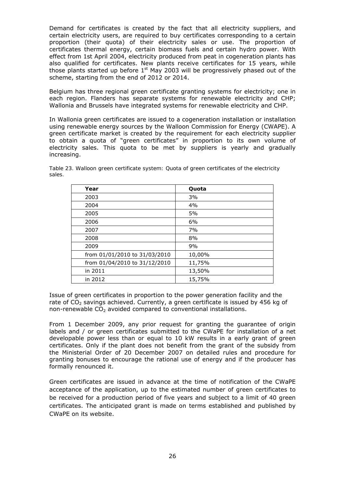Demand for certificates is created by the fact that all electricity suppliers, and certain electricity users, are required to buy certificates corresponding to a certain proportion (their quota) of their electricity sales or use. The proportion of certificates thermal energy, certain biomass fuels and certain hydro power. With effect from 1st April 2004, electricity produced from peat in cogeneration plants has also qualified for certificates. New plants receive certificates for 15 years, while those plants started up before  $1<sup>st</sup>$  May 2003 will be progressively phased out of the scheme, starting from the end of 2012 or 2014.

Belgium has three regional green certificate granting systems for electricity; one in each region. Flanders has separate systems for renewable electricity and CHP; Wallonia and Brussels have integrated systems for renewable electricity and CHP.

In Wallonia green certificates are issued to a cogeneration installation or installation using renewable energy sources by the Walloon Commission for Energy (CWAPE). A green certificate market is created by the requirement for each electricity supplier to obtain a quota of "green certificates" in proportion to its own volume of electricity sales. This quota to be met by suppliers is yearly and gradually increasing.

*Table 23. Walloon green certificate system: Quota of green certificates of the electricity sales.*

| Year                          | Quota  |
|-------------------------------|--------|
| 2003                          | 3%     |
| 2004                          | 4%     |
| 2005                          | 5%     |
| 2006                          | 6%     |
| 2007                          | 7%     |
| 2008                          | 8%     |
| 2009                          | 9%     |
| from 01/01/2010 to 31/03/2010 | 10,00% |
| from 01/04/2010 to 31/12/2010 | 11,75% |
| in 2011                       | 13,50% |
| in 2012                       | 15,75% |

Issue of green certificates in proportion to the power generation facility and the rate of  $CO<sub>2</sub>$  savings achieved. Currently, a green certificate is issued by 456 kg of non-renewable  $CO<sub>2</sub>$  avoided compared to conventional installations.

From 1 December 2009, any prior request for granting the guarantee of origin labels and / or green certificates submitted to the CWaPE for installation of a net developable power less than or equal to 10 kW results in a early grant of green certificates. Only if the plant does not benefit from the grant of the subsidy from the Ministerial Order of 20 December 2007 on detailed rules and procedure for granting bonuses to encourage the rational use of energy and if the producer has formally renounced it.

Green certificates are issued in advance at the time of notification of the CWaPE acceptance of the application, up to the estimated number of green certificates to be received for a production period of five years and subject to a limit of 40 green certificates. The anticipated grant is made on terms established and published by CWaPE on its website.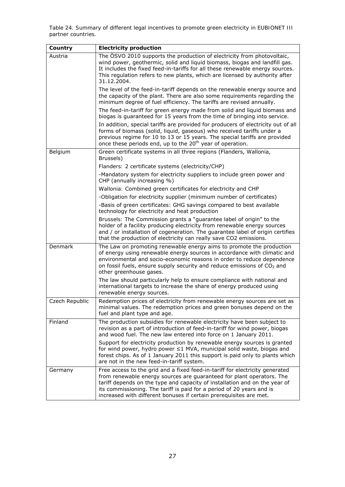*Table 24. Summary of different legal incentives to promote green electricity in EUBIONET III partner countries.* 

| Country        | <b>Electricity production</b>                                                                                                                                                                                                                                                                                                                                                      |
|----------------|------------------------------------------------------------------------------------------------------------------------------------------------------------------------------------------------------------------------------------------------------------------------------------------------------------------------------------------------------------------------------------|
| Austria        | The ÖSVO 2010 supports the production of electricity from photovoltaic,<br>wind power, geothermic, solid and liquid biomass, biogas and landfill gas.<br>It includes the fixed feed-in-tariffs for all these renewable energy sources.<br>This regulation refers to new plants, which are licensed by authority after<br>31.12.2004.                                               |
|                | The level of the feed-in-tariff depends on the renewable energy source and<br>the capacity of the plant. There are also some requirements regarding the<br>minimum degree of fuel efficiency. The tariffs are revised annually.                                                                                                                                                    |
|                | The feed-in-tariff for green energy made from solid and liquid biomass and<br>biogas is guaranteed for 15 years from the time of bringing into service.                                                                                                                                                                                                                            |
|                | In addition, special tariffs are provided for producers of electricity out of all<br>forms of biomass (solid, liquid, gaseous) who received tariffs under a<br>previous regime for 10 to 13 or 15 years. The special tariffs are provided<br>once these periods end, up to the 20 <sup>th</sup> year of operation.                                                                 |
| Belgium        | Green certificate systems in all three regions (Flanders, Wallonia,<br>Brussels)                                                                                                                                                                                                                                                                                                   |
|                | Flanders: 2 certificate systems (electricity/CHP)                                                                                                                                                                                                                                                                                                                                  |
|                | -Mandatory system for electricity suppliers to include green power and<br>CHP (annually increasing %)                                                                                                                                                                                                                                                                              |
|                | Wallonia: Combined green certificates for electricity and CHP                                                                                                                                                                                                                                                                                                                      |
|                | -Obligation for electricity supplier (minimum number of certificates)                                                                                                                                                                                                                                                                                                              |
|                | -Basis of green certificates: GHG savings compared to best available<br>technology for electricity and heat production                                                                                                                                                                                                                                                             |
|                | Brussels: The Commission grants a "guarantee label of origin" to the<br>holder of a facility producing electricity from renewable energy sources<br>and / or installation of cogeneration. The guarantee label of origin certifies<br>that the production of electricity can really save CO2 emissions.                                                                            |
| Denmark        | The Law on promoting renewable energy aims to promote the production<br>of energy using renewable energy sources in accordance with climatic and<br>environmental and socio-economic reasons in order to reduce dependence<br>on fossil fuels, ensure supply security and reduce emissions of $CO2$ and<br>other greenhouse gases.                                                 |
|                | The law should particularly help to ensure compliance with national and<br>international targets to increase the share of energy produced using<br>renewable energy sources.                                                                                                                                                                                                       |
| Czech Republic | Redemption prices of electricity from renewable energy sources are set as<br>minimal values. The redemption prices and green bonuses depend on the<br>fuel and plant type and age.                                                                                                                                                                                                 |
| Finland        | The production subsidies for renewable electricity have been subject to<br>revision as a part of introduction of feed-in-tariff for wind power, biogas<br>and wood fuel. The new law entered into force on 1 January 2011.                                                                                                                                                         |
|                | Support for electricity production by renewable energy sources is granted<br>for wind power, hydro power $\leq 1$ MVA, municipal solid waste, biogas and<br>forest chips. As of 1 January 2011 this support is paid only to plants which<br>are not in the new feed-in-tariff system.                                                                                              |
| Germany        | Free access to the grid and a fixed feed-in-tariff for electricity generated<br>from renewable energy sources are guaranteed for plant operators. The<br>tariff depends on the type and capacity of installation and on the year of<br>its commissioning. The tariff is paid for a period of 20 years and is<br>increased with different bonuses if certain prerequisites are met. |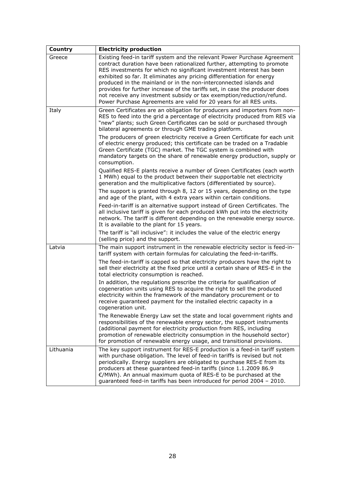| Country   | <b>Electricity production</b>                                                                                                                                                                                                                                                                                                                                                                                                                                                                                                                                                                              |
|-----------|------------------------------------------------------------------------------------------------------------------------------------------------------------------------------------------------------------------------------------------------------------------------------------------------------------------------------------------------------------------------------------------------------------------------------------------------------------------------------------------------------------------------------------------------------------------------------------------------------------|
| Greece    | Existing feed-in tariff system and the relevant Power Purchase Agreement<br>contract duration have been rationalized further, attempting to promote<br>RES investments for which no significant investment interest has been<br>exhibited so far. It eliminates any pricing differentiation for energy<br>produced in the mainland or in the non-interconnected islands and<br>provides for further increase of the tariffs set, in case the producer does<br>not receive any investment subsidy or tax exemption/reduction/refund.<br>Power Purchase Agreements are valid for 20 years for all RES units. |
| Italy     | Green Certificates are an obligation for producers and importers from non-<br>RES to feed into the grid a percentage of electricity produced from RES via<br>"new" plants; such Green Certificates can be sold or purchased through<br>bilateral agreements or through GME trading platform.                                                                                                                                                                                                                                                                                                               |
|           | The producers of green electricity receive a Green Certificate for each unit<br>of electric energy produced; this certificate can be traded on a Tradable<br>Green Certificate (TGC) market. The TGC system is combined with<br>mandatory targets on the share of renewable energy production, supply or<br>consumption.                                                                                                                                                                                                                                                                                   |
|           | Qualified RES-E plants receive a number of Green Certificates (each worth<br>1 MWh) equal to the product between their supportable net electricity<br>generation and the multiplicative factors (differentiated by source).                                                                                                                                                                                                                                                                                                                                                                                |
|           | The support is granted through 8, 12 or 15 years, depending on the type<br>and age of the plant, with 4 extra years within certain conditions.                                                                                                                                                                                                                                                                                                                                                                                                                                                             |
|           | Feed-in-tariff is an alternative support instead of Green Certificates. The<br>all inclusive tariff is given for each produced kWh put into the electricity<br>network. The tariff is different depending on the renewable energy source.<br>It is available to the plant for 15 years.                                                                                                                                                                                                                                                                                                                    |
|           | The tariff is "all inclusive": it includes the value of the electric energy<br>(selling price) and the support.                                                                                                                                                                                                                                                                                                                                                                                                                                                                                            |
| Latvia    | The main support instrument in the renewable electricity sector is feed-in-<br>tariff system with certain formulas for calculating the feed-in-tariffs.                                                                                                                                                                                                                                                                                                                                                                                                                                                    |
|           | The feed-in-tariff is capped so that electricity producers have the right to<br>sell their electricity at the fixed price until a certain share of RES-E in the<br>total electricity consumption is reached.                                                                                                                                                                                                                                                                                                                                                                                               |
|           | In addition, the regulations prescribe the criteria for qualification of<br>cogeneration units using RES to acquire the right to sell the produced<br>electricity within the framework of the mandatory procurement or to<br>receive guaranteed payment for the installed electric capacity in a<br>cogeneration unit.                                                                                                                                                                                                                                                                                     |
|           | The Renewable Energy Law set the state and local government rights and<br>responsibilities of the renewable energy sector, the support instruments<br>(additional payment for electricity production from RES, including<br>promotion of renewable electricity consumption in the household sector)<br>for promotion of renewable energy usage, and transitional provisions.                                                                                                                                                                                                                               |
| Lithuania | The key support instrument for RES-E production is a feed-in tariff system<br>with purchase obligation. The level of feed-in tariffs is revised but not<br>periodically. Energy suppliers are obligated to purchase RES-E from its<br>producers at these quaranteed feed-in tariffs (since 1.1.2009 86.9<br>€/MWh). An annual maximum quota of RES-E to be purchased at the<br>guaranteed feed-in tariffs has been introduced for period 2004 - 2010.                                                                                                                                                      |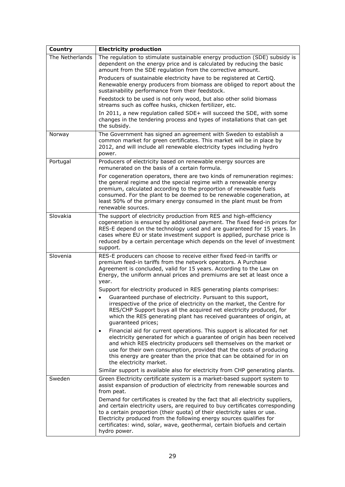| Country         | <b>Electricity production</b>                                                                                                                                                                                                                                                                                                                                                                                      |
|-----------------|--------------------------------------------------------------------------------------------------------------------------------------------------------------------------------------------------------------------------------------------------------------------------------------------------------------------------------------------------------------------------------------------------------------------|
| The Netherlands | The regulation to stimulate sustainable energy production (SDE) subsidy is<br>dependent on the energy price and is calculated by reducing the basic<br>amount from the SDE regulation from the corrective amount.                                                                                                                                                                                                  |
|                 | Producers of sustainable electricity have to be registered at CertiQ.<br>Renewable energy producers from biomass are obliged to report about the<br>sustainability performance from their feedstock.                                                                                                                                                                                                               |
|                 | Feedstock to be used is not only wood, but also other solid biomass<br>streams such as coffee husks, chicken fertilizer, etc.                                                                                                                                                                                                                                                                                      |
|                 | In 2011, a new regulation called SDE+ will succeed the SDE, with some<br>changes in the tendering process and types of installations that can get<br>the subsidy.                                                                                                                                                                                                                                                  |
| Norway          | The Government has signed an agreement with Sweden to establish a<br>common market for green certificates. This market will be in place by<br>2012, and will include all renewable electricity types including hydro<br>power.                                                                                                                                                                                     |
| Portugal        | Producers of electricity based on renewable energy sources are<br>remunerated on the basis of a certain formula.                                                                                                                                                                                                                                                                                                   |
|                 | For cogeneration operators, there are two kinds of remuneration regimes:<br>the general regime and the special regime with a renewable energy<br>premium, calculated according to the proportion of renewable fuels<br>consumed. For the plant to be deemed to be renewable cogeneration, at<br>least 50% of the primary energy consumed in the plant must be from<br>renewable sources.                           |
| Slovakia        | The support of electricity production from RES and high-efficiency<br>cogeneration is ensured by additional payment. The fixed feed-in prices for<br>RES-E depend on the technology used and are guaranteed for 15 years. In<br>cases where EU or state investment support is applied, purchase price is<br>reduced by a certain percentage which depends on the level of investment<br>support.                   |
| Slovenia        | RES-E producers can choose to receive either fixed feed-in tariffs or<br>premium feed-in tariffs from the network operators. A Purchase<br>Agreement is concluded, valid for 15 years. According to the Law on<br>Energy, the uniform annual prices and premiums are set at least once a<br>year.                                                                                                                  |
|                 | Support for electricity produced in RES generating plants comprises:                                                                                                                                                                                                                                                                                                                                               |
|                 | Guaranteed purchase of electricity. Pursuant to this support,<br>irrespective of the price of electricity on the market, the Centre for<br>RES/CHP Support buys all the acquired net electricity produced, for<br>which the RES generating plant has received guarantees of origin, at<br>guaranteed prices;                                                                                                       |
|                 | Financial aid for current operations. This support is allocated for net<br>$\bullet$<br>electricity generated for which a guarantee of origin has been received<br>and which RES electricity producers sell themselves on the market or<br>use for their own consumption, provided that the costs of producing<br>this energy are greater than the price that can be obtained for in on<br>the electricity market. |
|                 | Similar support is available also for electricity from CHP generating plants.                                                                                                                                                                                                                                                                                                                                      |
| Sweden          | Green Electricity certificate system is a market-based support system to<br>assist expansion of production of electricity from renewable sources and<br>from peat.                                                                                                                                                                                                                                                 |
|                 | Demand for certificates is created by the fact that all electricity suppliers,<br>and certain electricity users, are required to buy certificates corresponding<br>to a certain proportion (their quota) of their electricity sales or use.<br>Electricity produced from the following energy sources qualifies for<br>certificates: wind, solar, wave, geothermal, certain biofuels and certain<br>hydro power.   |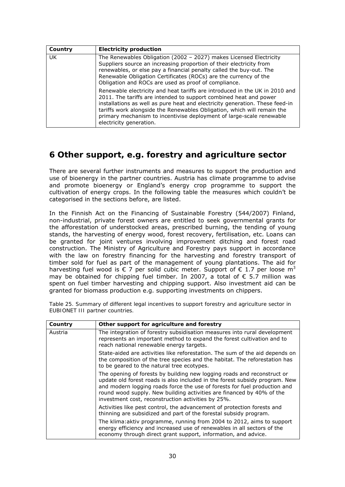| Country   | <b>Electricity production</b>                                                                                                                                                                                                                                                                                                                                                                                  |
|-----------|----------------------------------------------------------------------------------------------------------------------------------------------------------------------------------------------------------------------------------------------------------------------------------------------------------------------------------------------------------------------------------------------------------------|
| <b>UK</b> | The Renewables Obligation (2002 - 2027) makes Licensed Electricity<br>Suppliers source an increasing proportion of their electricity from<br>renewables, or else pay a financial penalty called the buy-out. The<br>Renewable Obligation Certificates (ROCs) are the currency of the<br>Obligation and ROCs are used as proof of compliance.                                                                   |
|           | Renewable electricity and heat tariffs are introduced in the UK in 2010 and<br>2011. The tariffs are intended to support combined heat and power<br>installations as well as pure heat and electricity generation. These feed-in<br>tariffs work alongside the Renewables Obligation, which will remain the<br>primary mechanism to incentivise deployment of large-scale renewable<br>electricity generation. |

#### **6 Other support, e.g. forestry and agriculture sector**

There are several further instruments and measures to support the production and use of bioenergy in the partner countries. Austria has climate programme to advise and promote bioenergy or England's energy crop programme to support the cultivation of energy crops. In the following table the measures which couldn't be categorised in the sections before, are listed.

In the Finnish Act on the Financing of Sustainable Forestry (544/2007) Finland, non-industrial, private forest owners are entitled to seek governmental grants for the afforestation of understocked areas, prescribed burning, the tending of young stands, the harvesting of energy wood, forest recovery, fertilisation, etc. Loans can be granted for joint ventures involving improvement ditching and forest road construction. The Ministry of Agriculture and Forestry pays support in accordance with the law on forestry financing for the harvesting and forestry transport of timber sold for fuel as part of the management of young plantations. The aid for harvesting fuel wood is  $\epsilon$  7 per solid cubic meter. Support of  $\epsilon$  1.7 per loose m<sup>3</sup> may be obtained for chipping fuel timber. In 2007, a total of  $\epsilon$  5.7 million was spent on fuel timber harvesting and chipping support. Also investment aid can be granted for biomass production e.g. supporting investments on chippers.

| Country | Other support for agriculture and forestry                                                                                                                                                                                                                                                                                                                         |
|---------|--------------------------------------------------------------------------------------------------------------------------------------------------------------------------------------------------------------------------------------------------------------------------------------------------------------------------------------------------------------------|
| Austria | The integration of forestry subsidisation measures into rural development<br>represents an important method to expand the forest cultivation and to<br>reach national renewable energy targets.                                                                                                                                                                    |
|         | State-aided are activities like reforestation. The sum of the aid depends on<br>the composition of the tree species and the habitat. The reforestation has<br>to be geared to the natural tree ecotypes.                                                                                                                                                           |
|         | The opening of forests by building new logging roads and reconstruct or<br>update old forest roads is also included in the forest subsidy program. New<br>and modern logging roads force the use of forests for fuel production and<br>round wood supply. New building activities are financed by 40% of the<br>investment cost, reconstruction activities by 25%. |
|         | Activities like pest control, the advancement of protection forests and<br>thinning are subsidized and part of the forestal subsidy program.                                                                                                                                                                                                                       |
|         | The klima: aktiv programme, running from 2004 to 2012, aims to support<br>energy efficiency and increased use of renewables in all sectors of the<br>economy through direct grant support, information, and advice.                                                                                                                                                |

*Table 25. Summary of different legal incentives to support forestry and agriculture sector in EUBIONET III partner countries.*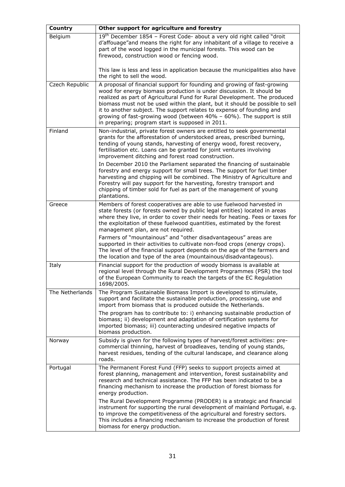| Country         | Other support for agriculture and forestry                                                                                                                                                                                                                                                                                                                                                                                                                                                                           |
|-----------------|----------------------------------------------------------------------------------------------------------------------------------------------------------------------------------------------------------------------------------------------------------------------------------------------------------------------------------------------------------------------------------------------------------------------------------------------------------------------------------------------------------------------|
| Belgium         | 19th December 1854 - Forest Code- about a very old right called "droit<br>d'affouage" and means the right for any inhabitant of a village to receive a<br>part of the wood logged in the municipal forests. This wood can be<br>firewood, construction wood or fencing wood.                                                                                                                                                                                                                                         |
|                 | This law is less and less in application because the municipalities also have<br>the right to sell the wood.                                                                                                                                                                                                                                                                                                                                                                                                         |
| Czech Republic  | A proposal of financial support for founding and growing of fast-growing<br>wood for energy biomass production is under discussion. It should be<br>realized as part of Agricultural Fund for Rural Development. The produced<br>biomass must not be used within the plant, but it should be possible to sell<br>it to another subject. The support relates to expense of founding and<br>growing of fast-growing wood (between 40% - 60%). The support is still<br>in preparing; program start is supposed in 2011. |
| Finland         | Non-industrial, private forest owners are entitled to seek governmental<br>grants for the afforestation of understocked areas, prescribed burning,<br>tending of young stands, harvesting of energy wood, forest recovery,<br>fertilisation etc. Loans can be granted for joint ventures involving<br>improvement ditching and forest road construction.<br>In December 2010 the Parliament separated the financing of sustainable                                                                                   |
|                 | forestry and energy support for small trees. The support for fuel timber<br>harvesting and chipping will be combined. The Ministry of Agriculture and<br>Forestry will pay support for the harvesting, forestry transport and<br>chipping of timber sold for fuel as part of the management of young<br>plantations.                                                                                                                                                                                                 |
| Greece          | Members of forest cooperatives are able to use fuelwood harvested in<br>state forests (or forests owned by public legal entities) located in areas<br>where they live, in order to cover their needs for heating. Fees or taxes for<br>the exploitation of these fuelwood quantities, estimated by the forest<br>management plan, are not required.                                                                                                                                                                  |
|                 | Farmers of "mountainous" and "other disadvantageous" areas are<br>supported in their activities to cultivate non-food crops (energy crops).<br>The level of the financial support depends on the age of the farmers and<br>the location and type of the area (mountainous/disadvantageous).                                                                                                                                                                                                                          |
| Italy           | Financial support for the production of woody biomass is available at<br>regional level through the Rural Development Programmes (PSR) the tool<br>of the European Community to reach the targets of the EC Regulation<br>1698/2005.                                                                                                                                                                                                                                                                                 |
| The Netherlands | The Program Sustainable Biomass Import is developed to stimulate,<br>support and facilitate the sustainable production, processing, use and<br>import from biomass that is produced outside the Netherlands.                                                                                                                                                                                                                                                                                                         |
|                 | The program has to contribute to: i) enhancing sustainable production of<br>biomass; ii) development and adaptation of certification systems for<br>imported biomass; iii) counteracting undesired negative impacts of<br>biomass production.                                                                                                                                                                                                                                                                        |
| Norway          | Subsidy is given for the following types of harvest/forest activities: pre-<br>commercial thinning, harvest of broadleaves, tending of young stands,<br>harvest residues, tending of the cultural landscape, and clearance along<br>roads.                                                                                                                                                                                                                                                                           |
| Portugal        | The Permanent Forest Fund (FFP) seeks to support projects aimed at<br>forest planning, management and intervention, forest sustainability and<br>research and technical assistance. The FFP has been indicated to be a<br>financing mechanism to increase the production of forest biomass for<br>energy production.                                                                                                                                                                                                 |
|                 | The Rural Development Programme (PRODER) is a strategic and financial<br>instrument for supporting the rural development of mainland Portugal, e.g.<br>to improve the competitiveness of the agricultural and forestry sectors.<br>This includes a financing mechanism to increase the production of forest<br>biomass for energy production.                                                                                                                                                                        |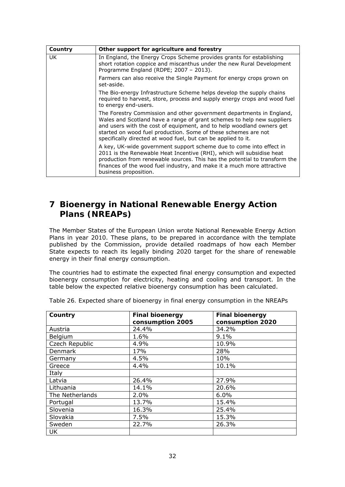| Country | Other support for agriculture and forestry                                                                                                                                                                                                                                                                                                                 |
|---------|------------------------------------------------------------------------------------------------------------------------------------------------------------------------------------------------------------------------------------------------------------------------------------------------------------------------------------------------------------|
| UK.     | In England, the Energy Crops Scheme provides grants for establishing<br>short rotation coppice and miscanthus under the new Rural Development<br>Programme England (RDPE; 2007 - 2013).                                                                                                                                                                    |
|         | Farmers can also receive the Single Payment for energy crops grown on<br>set-aside.                                                                                                                                                                                                                                                                        |
|         | The Bio-energy Infrastructure Scheme helps develop the supply chains<br>required to harvest, store, process and supply energy crops and wood fuel<br>to energy end-users.                                                                                                                                                                                  |
|         | The Forestry Commission and other government departments in England,<br>Wales and Scotland have a range of grant schemes to help new suppliers<br>and users with the cost of equipment, and to help woodland owners get<br>started on wood fuel production. Some of these schemes are not<br>specifically directed at wood fuel, but can be applied to it. |
|         | A key, UK-wide government support scheme due to come into effect in<br>2011 is the Renewable Heat Incentive (RHI), which will subsidise heat<br>production from renewable sources. This has the potential to transform the<br>finances of the wood fuel industry, and make it a much more attractive<br>business proposition.                              |

#### **7 Bioenergy in National Renewable Energy Action Plans (NREAPs)**

The Member States of the European Union wrote National Renewable Energy Action Plans in year 2010. These plans, to be prepared in accordance with the template published by the Commission, provide detailed roadmaps of how each Member State expects to reach its legally binding 2020 target for the share of renewable energy in their final energy consumption.

The countries had to estimate the expected final energy consumption and expected bioenergy consumption for electricity, heating and cooling and transport. In the table below the expected relative bioenergy consumption has been calculated.

| Country         | <b>Final bioenergy</b><br>consumption 2005 | <b>Final bioenergy</b><br>consumption 2020 |
|-----------------|--------------------------------------------|--------------------------------------------|
|                 |                                            |                                            |
| Austria         | 24.4%                                      | 34.2%                                      |
| Belgium         | 1.6%                                       | 9.1%                                       |
| Czech Republic  | 4.9%                                       | 10.9%                                      |
| Denmark         | 17%                                        | 28%                                        |
| Germany         | 4.5%                                       | 10%                                        |
| Greece          | 4.4%                                       | 10.1%                                      |
| Italy           |                                            |                                            |
| Latvia          | 26.4%                                      | 27.9%                                      |
| Lithuania       | 14.1%                                      | 20.6%                                      |
| The Netherlands | 2.0%                                       | 6.0%                                       |
| Portugal        | 13.7%                                      | 15.4%                                      |
| Slovenia        | 16.3%                                      | 25.4%                                      |
| Slovakia        | 7.5%                                       | 15.3%                                      |
| Sweden          | 22.7%                                      | 26.3%                                      |
| UK              |                                            |                                            |

*Table 26. Expected share of bioenergy in final energy consumption in the NREAPs*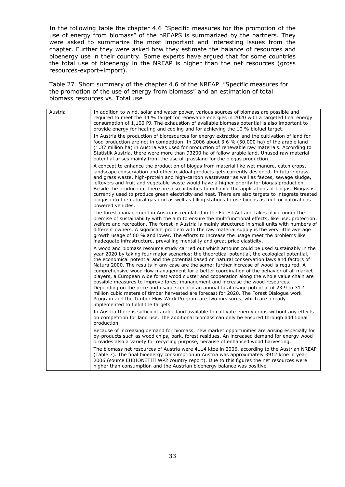In the following table the chapter 4.6 "Specific measures for the promotion of the use of energy from biomass" of the nREAPS is summarized by the partners. They were asked to summarize the most important and interesting issues from the chapter. Further they were asked how they estimate the balance of resources and bioenergy use in their country. Some experts have argued that for some countries the total use of bioenergy in the NREAP is higher than the net resources (gross resources-export+import).

*Table 27. Short summary of the chapter 4.6 of the NREAP "Specific measures for the promotion of the use of energy from biomass" and an estimation of total biomass resources vs. Total use* 

| Austria | In addition to wind, solar and water power, various sources of biomass are possible and<br>required to meet the 34 % target for renewable energies in 2020 with a targeted final energy<br>consumption of 1,100 PJ. The exhaustion of available biomass potential is also important to<br>provide energy for heating and cooling and for achieving the 10 % biofuel target.                                                                                                                                                                                                                                                                                                                                                                                                                                                                                                                                                                                                                  |
|---------|----------------------------------------------------------------------------------------------------------------------------------------------------------------------------------------------------------------------------------------------------------------------------------------------------------------------------------------------------------------------------------------------------------------------------------------------------------------------------------------------------------------------------------------------------------------------------------------------------------------------------------------------------------------------------------------------------------------------------------------------------------------------------------------------------------------------------------------------------------------------------------------------------------------------------------------------------------------------------------------------|
|         | In Austria the production of bioresources for energy extraction and the cultivation of land for<br>food production are not in competition. In 2006 about 3.6 % (50,000 ha) of the arable land<br>(1.37 million ha) in Austria was used for production of renewable raw materials. According to<br>Statistik Austria, there were more than 93200 ha of fallow arable land. Unused raw material<br>potential arises mainly from the use of grassland for the biogas production.                                                                                                                                                                                                                                                                                                                                                                                                                                                                                                                |
|         | A concept to enhance the production of biogas from material like wet manure, catch crops,<br>landscape conservation and other residual products gets currently designed. In future grass<br>and grass waste, high-protein and high-carbon wastewater as well as faeces, sewage sludge,<br>leftovers and fruit and vegetable waste would have a higher priority for biogas production.<br>Beside the production, there are also activities to enhance the applications of biogas. Biogas is<br>currently used to produce green electricity and heat. There are also targets to integrate treated<br>biogas into the natural gas grid as well as filling stations to use biogas as fuel for natural gas<br>powered vehicles.                                                                                                                                                                                                                                                                   |
|         | The forest management in Austria is regulated in the Forest Act and takes place under the<br>premise of sustainability with the aim to ensure the multifunctional effects, like use, protection,<br>welfare and recreation. The forest in Austria is mainly structured in small units with numbers of<br>different owners. A significant problem with the raw material supply is the very little average<br>growth usage of 60 % and lower. The efforts to increase the usage meet the problems like<br>inadequate infrastructure, prevailing mentality and great price elasticity.                                                                                                                                                                                                                                                                                                                                                                                                          |
|         | A wood and biomass resource study carried out which amount could be used sustainably in the<br>year 2020 by taking four major scenarios: the theoretical potential, the ecological potential,<br>the economical potential and the potential based on natural conservation laws and factors of<br>Natura 2000. The results in any case are the same: further increase of wood is required. A<br>comprehensive wood flow management for a better coordination of the behavior of all market<br>players, a European wide forest wood cluster and cooperation along the whole value chain are<br>possible measures to improve forest management and increase the wood resources.<br>Depending on the price and usage scenario an annual total usage potential of 23.9 to 31.1<br>million cubic meters of timber harvested are forecast for 2020. The Forest Dialogue work<br>Program and the Timber Flow Work Program are two measures, which are already<br>implemented to fulfill the targets. |
|         | In Austria there is sufficient arable land available to cultivate energy crops without any effects<br>on competition for land use. The additional biomass can only be ensured through additional<br>production.                                                                                                                                                                                                                                                                                                                                                                                                                                                                                                                                                                                                                                                                                                                                                                              |
|         | Because of increasing demand for biomass, new market opportunities are arising especially for<br>by-products such as wood chips, bark, forest residues. An increased demand for energy wood<br>provides also a variety for recycling purpose, because of enhanced wood harvesting.                                                                                                                                                                                                                                                                                                                                                                                                                                                                                                                                                                                                                                                                                                           |
|         | The biomass net resources of Austria were 4114 ktoe in 2006, according to the Austrian NREAP<br>(Table 7). The final bioenergy consumption in Austria was approximately 3912 ktoe in year<br>2006 (source EUBIONETIII WP2 country report). Due to this figures the net resources were<br>higher than consumption and the Austrian bioenergy balance was positive                                                                                                                                                                                                                                                                                                                                                                                                                                                                                                                                                                                                                             |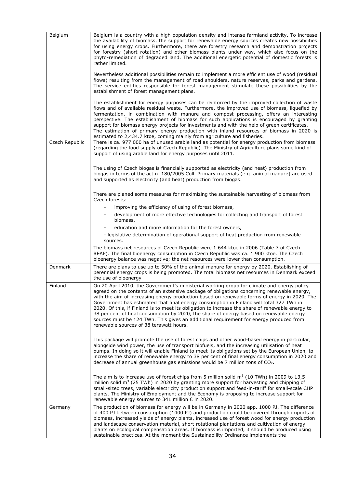| Belgium        | Belgium is a country with a high population density and intense farmland activity. To increase<br>the availability of biomass, the support for renewable energy sources creates new possibilities<br>for using energy crops. Furthermore, there are forestry research and demonstration projects<br>for forestry (short rotation) and other biomass plants under way, which also focus on the<br>phyto-remediation of degraded land. The additional energetic potential of domestic forests is<br>rather limited.<br>Nevertheless additional possibilities remain to implement a more efficient use of wood (residual                                                                                                   |
|----------------|-------------------------------------------------------------------------------------------------------------------------------------------------------------------------------------------------------------------------------------------------------------------------------------------------------------------------------------------------------------------------------------------------------------------------------------------------------------------------------------------------------------------------------------------------------------------------------------------------------------------------------------------------------------------------------------------------------------------------|
|                | flows) resulting from the management of road shoulders, nature reserves, parks and gardens.<br>The service entities responsible for forest management stimulate these possibilities by the<br>establishment of forest management plans.                                                                                                                                                                                                                                                                                                                                                                                                                                                                                 |
|                | The establishment for energy purposes can be reinforced by the improved collection of waste<br>flows and of available residual waste. Furthermore, the improved use of biomass, liquefied by<br>fermentation, in combination with manure and compost processing, offers an interesting<br>perspective. The establishment of biomass for such applications is encouraged by granting<br>support for biomass energy projects for investments and with the help of green certificates.<br>The estimation of primary energy production with inland resources of biomass in 2020 is<br>estimated to 2,434.7 ktoe, coming mainly from agriculture and fisheries.                                                              |
| Czech Republic | There is ca. 977 000 ha of unused arable land as potential for energy production from biomass<br>(regarding the food supply of Czech Republic). The Ministry of Agriculture plans some kind of<br>support of using arable land for energy purposes until 2011.                                                                                                                                                                                                                                                                                                                                                                                                                                                          |
|                | The using of Czech biogas is financially supported as electricity (and heat) production from<br>biogas in terms of the act n. 180/2005 Coll. Primary materials (e.g. animal manure) are used<br>and supported as electricity (and heat) production from biogas.                                                                                                                                                                                                                                                                                                                                                                                                                                                         |
|                | There are planed some measures for maximizing the sustainable harvesting of biomass from<br>Czech forests:                                                                                                                                                                                                                                                                                                                                                                                                                                                                                                                                                                                                              |
|                | improving the efficiency of using of forest biomass,                                                                                                                                                                                                                                                                                                                                                                                                                                                                                                                                                                                                                                                                    |
|                | development of more effective technologies for collecting and transport of forest<br>biomass,                                                                                                                                                                                                                                                                                                                                                                                                                                                                                                                                                                                                                           |
|                | education and more information for the forest owners,                                                                                                                                                                                                                                                                                                                                                                                                                                                                                                                                                                                                                                                                   |
|                | - legislative determination of operational support of heat production from renewable<br>sources.                                                                                                                                                                                                                                                                                                                                                                                                                                                                                                                                                                                                                        |
|                | The biomass net resources of Czech Republic were 1 644 ktoe in 2006 (Table 7 of Czech<br>REAP). The final bioenergy consumption in Czech Republic was ca. 1 900 ktoe. The Czech<br>bioenergy balance was negative; the net resources were lower than consumption.                                                                                                                                                                                                                                                                                                                                                                                                                                                       |
| Denmark        | There are plans to use up to 50% of the animal manure for energy by 2020. Establishing of<br>perennial energy crops is being promoted. The total biomass net resources in Denmark exceed<br>the use of bioenergy                                                                                                                                                                                                                                                                                                                                                                                                                                                                                                        |
| Finland        | On 20 April 2010, the Government's ministerial working group for climate and energy policy<br>agreed on the contents of an extensive package of obligations concerning renewable energy,<br>with the aim of increasing energy production based on renewable forms of energy in 2020. The<br>Government has estimated that final energy consumption in Finland will total 327 TWh in<br>2020. Of this, if Finland is to meet its obligation to increase the share of renewable energy to<br>38 per cent of final consumption by 2020, the share of energy based on renewable energy<br>sources must be 124 TWh. This gives an additional requirement for energy produced from<br>renewable sources of 38 terawatt hours. |
|                | This package will promote the use of forest chips and other wood-based energy in particular,<br>alongside wind power, the use of transport biofuels, and the increasing utilisation of heat<br>pumps. In doing so it will enable Finland to meet its obligations set by the European Union, to<br>increase the share of renewable energy to 38 per cent of final energy consumption in 2020 and<br>decrease of annual greenhouse gas emissions would be 7 million tons of $CO2$ .                                                                                                                                                                                                                                       |
|                | The aim is to increase use of forest chips from 5 million solid $m3$ (10 TWh) in 2009 to 13,5<br>million solid $m3$ (25 TWh) in 2020 by granting more support for harvesting and chipping of<br>small-sized trees, variable electricity production support and feed-in-tariff for small-scale CHP<br>plants. The Ministry of Employment and the Economy is proposing to increase support for<br>renewable energy sources to 341 million € in 2020.                                                                                                                                                                                                                                                                      |
| Germany        | The production of biomass for energy will be in Germany in 2020 app. 1000 PJ. The difference<br>of 400 PJ between consumption (1400 PJ) and production could be covered through imports of<br>biomass, increased yields of energy plants, increased use of forest wood for energy production<br>and landscape conservation material, short rotational plantations and cultivation of energy<br>plants on ecological compensation areas. If biomass is imported, it should be produced using<br>sustainable practices. At the moment the Sustainability Ordinance implements the                                                                                                                                         |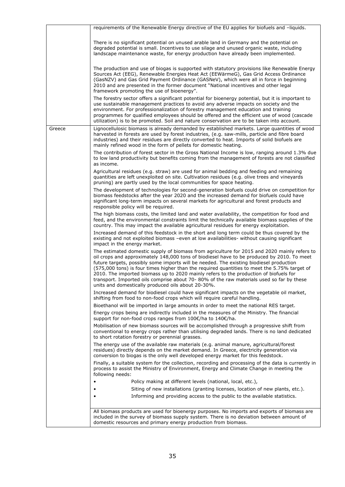|        | requirements of the Renewable Energy directive of the EU applies for biofuels and -liquids.                                                                                                                                                                                                                                                                                                                                                                                                                                                                                                                                      |
|--------|----------------------------------------------------------------------------------------------------------------------------------------------------------------------------------------------------------------------------------------------------------------------------------------------------------------------------------------------------------------------------------------------------------------------------------------------------------------------------------------------------------------------------------------------------------------------------------------------------------------------------------|
|        | There is no significant potential on unused arable land in Germany and the potential on<br>degraded potential is small. Incentives to use silage and unused organic waste, including<br>landscape maintenance waste, for energy production have already been implemented.                                                                                                                                                                                                                                                                                                                                                        |
|        | The production and use of biogas is supported with statutory provisions like Renewable Energy<br>Sources Act (EEG), Renewable Energies Heat Act (EEWärmeG), Gas Grid Access Ordinance<br>(GasNZV) and Gas Grid Payment Ordinance (GASNeV), which were all in force in beginning<br>2010 and are presented in the former document "National incentives and other legal<br>framework promoting the use of bioenergy".                                                                                                                                                                                                              |
|        | The forestry sector offers a significant potential for bioenergy potential, but it is important to<br>use sustainable management practices to avoid any adverse impacts on society and the<br>environment. For professionalization of forestry management education and training<br>programmes for qualified employees should be offered and the efficient use of wood (cascade<br>utilization) is to be promoted. Soil and nature conservation are to be taken into account.                                                                                                                                                    |
| Greece | Lignocellulosic biomass is already demanded by established markets. Large quantities of wood<br>harvested in forests are used by forest industries, (e.g. saw-mills, particle and fibre board<br>industries) and their residues are directly converted to heat. Imports of solid biofuels are<br>mainly refined wood in the form of pellets for domestic heating.                                                                                                                                                                                                                                                                |
|        | The contribution of forest sector in the Gross National Income is low, ranging around 1.3% due<br>to low land productivity but benefits coming from the management of forests are not classified<br>as income.                                                                                                                                                                                                                                                                                                                                                                                                                   |
|        | Agricultural residues (e.g. straw) are used for animal bedding and feeding and remaining<br>quantities are left unexploited on site. Cultivation residues (e.g. olive trees and vineyards<br>pruning) are partly used by the local communities for space heating.                                                                                                                                                                                                                                                                                                                                                                |
|        | The development of technologies for second-generation biofuels could drive on competition for<br>biomass feedstocks after the year 2020 and the increased demand for biofuels could have<br>significant long-term impacts on several markets for agricultural and forest products and<br>responsible policy will be required.                                                                                                                                                                                                                                                                                                    |
|        | The high biomass costs, the limited land and water availability, the competition for food and<br>feed, and the environmental constraints limit the technically available biomass supplies of the<br>country. This may impact the available agricultural residues for energy exploitation.                                                                                                                                                                                                                                                                                                                                        |
|        | Increased demand of this feedstock in the short and long term could be thus covered by the<br>existing and not exploited biomass -even at low availabilities- without causing significant<br>impact in the energy market.                                                                                                                                                                                                                                                                                                                                                                                                        |
|        | The estimated domestic supply of biomass from agriculture for 2015 and 2020 mainly refers to<br>oil crops and approximately 148,000 tons of biodiesel have to be produced by 2010. To meet<br>future targets, possibly some imports will be needed. The existing biodiesel production<br>(575,000 tons) is four times higher than the required quantities to meet the 5.75% target of<br>2010. The imported biomass up to 2020 mainly refers to the production of biofuels for<br>transport. Imported oils comprise about 70-80% of the raw materials used so far by these<br>units and domestically produced oils about 20-30%. |
|        | Increased demand for biodiesel could have significant impacts on the vegetable oil market,<br>shifting from food to non-food crops which will require careful handling.                                                                                                                                                                                                                                                                                                                                                                                                                                                          |
|        | Bioethanol will be imported in large amounts in order to meet the national RES target.                                                                                                                                                                                                                                                                                                                                                                                                                                                                                                                                           |
|        | Energy crops being are indirectly included in the measures of the Ministry. The financial<br>support for non-food crops ranges from 100€/ha to 140€/ha.                                                                                                                                                                                                                                                                                                                                                                                                                                                                          |
|        | Mobilisation of new biomass sources will be accomplished through a progressive shift from<br>conventional to energy crops rather than utilising degraded lands. There is no land dedicated<br>to short rotation forestry or perennial grasses.                                                                                                                                                                                                                                                                                                                                                                                   |
|        | The energy use of the available raw materials (e.g. animal manure, agricultural/forest<br>residues) directly depends on the market demand. In Greece, electricity generation via<br>conversion to biogas is the only well developed energy market for this feedstock.                                                                                                                                                                                                                                                                                                                                                            |
|        | Finally, a suitable system for the collection, recording and processing of the data is currently in<br>process to assist the Ministry of Environment, Energy and Climate Change in meeting the<br>following needs:                                                                                                                                                                                                                                                                                                                                                                                                               |
|        | Policy making at different levels (national, local, etc.),                                                                                                                                                                                                                                                                                                                                                                                                                                                                                                                                                                       |
|        | Siting of new installations (granting licenses, location of new plants, etc.).                                                                                                                                                                                                                                                                                                                                                                                                                                                                                                                                                   |
|        | Informing and providing access to the public to the available statistics.                                                                                                                                                                                                                                                                                                                                                                                                                                                                                                                                                        |
|        | All biomass products are used for bioenergy purposes. No imports and exports of biomass are<br>included in the survey of biomass supply system. There is no deviation between amount of<br>domestic resources and primary energy production from biomass.                                                                                                                                                                                                                                                                                                                                                                        |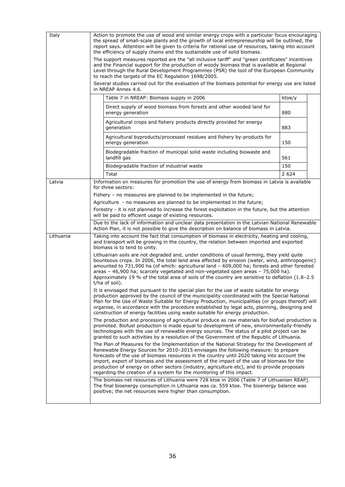| Italy                                     | Action to promote the use of wood and similar energy crops with a particular focus encouraging<br>the spread of small-scale plants and the growth of local entrepreneurship will be outlined, the<br>report says. Attention will be given to criteria for rational use of resources, taking into account<br>the efficiency of supply chains and the sustainable use of solid biomass.<br>The support measures reported are the "all inclusive tariff" and "green certificates" incentives<br>and the Financial support for the production of woody biomass that is available at Regional                                                                                                                                                                                                                                                                                                                                                                                                                                                                                                                                                                                                                                                                                                                                                                                                                                                                                                                                                                                                                                                                                                                                                                                                                                                                                                                                                                                                                                                                                                                                                                                                                  |                                                                                                                                                                                            |         |  |
|-------------------------------------------|-----------------------------------------------------------------------------------------------------------------------------------------------------------------------------------------------------------------------------------------------------------------------------------------------------------------------------------------------------------------------------------------------------------------------------------------------------------------------------------------------------------------------------------------------------------------------------------------------------------------------------------------------------------------------------------------------------------------------------------------------------------------------------------------------------------------------------------------------------------------------------------------------------------------------------------------------------------------------------------------------------------------------------------------------------------------------------------------------------------------------------------------------------------------------------------------------------------------------------------------------------------------------------------------------------------------------------------------------------------------------------------------------------------------------------------------------------------------------------------------------------------------------------------------------------------------------------------------------------------------------------------------------------------------------------------------------------------------------------------------------------------------------------------------------------------------------------------------------------------------------------------------------------------------------------------------------------------------------------------------------------------------------------------------------------------------------------------------------------------------------------------------------------------------------------------------------------------|--------------------------------------------------------------------------------------------------------------------------------------------------------------------------------------------|---------|--|
|                                           | Level through the Rural Development Programmes (PSR) the tool of the European Community<br>to reach the targets of the EC Regulation 1698/2005.                                                                                                                                                                                                                                                                                                                                                                                                                                                                                                                                                                                                                                                                                                                                                                                                                                                                                                                                                                                                                                                                                                                                                                                                                                                                                                                                                                                                                                                                                                                                                                                                                                                                                                                                                                                                                                                                                                                                                                                                                                                           |                                                                                                                                                                                            |         |  |
|                                           |                                                                                                                                                                                                                                                                                                                                                                                                                                                                                                                                                                                                                                                                                                                                                                                                                                                                                                                                                                                                                                                                                                                                                                                                                                                                                                                                                                                                                                                                                                                                                                                                                                                                                                                                                                                                                                                                                                                                                                                                                                                                                                                                                                                                           | Several studies carried out for the evaluation of the biomass potential for energy use are listed<br>in NREAP Annex 4.6.                                                                   |         |  |
|                                           |                                                                                                                                                                                                                                                                                                                                                                                                                                                                                                                                                                                                                                                                                                                                                                                                                                                                                                                                                                                                                                                                                                                                                                                                                                                                                                                                                                                                                                                                                                                                                                                                                                                                                                                                                                                                                                                                                                                                                                                                                                                                                                                                                                                                           | Table 7 in NREAP: Biomass supply in 2006                                                                                                                                                   | ktoe/y  |  |
|                                           |                                                                                                                                                                                                                                                                                                                                                                                                                                                                                                                                                                                                                                                                                                                                                                                                                                                                                                                                                                                                                                                                                                                                                                                                                                                                                                                                                                                                                                                                                                                                                                                                                                                                                                                                                                                                                                                                                                                                                                                                                                                                                                                                                                                                           | Direct supply of wood biomass from forests and other wooded land for<br>energy generation                                                                                                  | 880     |  |
|                                           |                                                                                                                                                                                                                                                                                                                                                                                                                                                                                                                                                                                                                                                                                                                                                                                                                                                                                                                                                                                                                                                                                                                                                                                                                                                                                                                                                                                                                                                                                                                                                                                                                                                                                                                                                                                                                                                                                                                                                                                                                                                                                                                                                                                                           | Agricultural crops and fishery products directly provided for energy<br>generation                                                                                                         | 883     |  |
|                                           |                                                                                                                                                                                                                                                                                                                                                                                                                                                                                                                                                                                                                                                                                                                                                                                                                                                                                                                                                                                                                                                                                                                                                                                                                                                                                                                                                                                                                                                                                                                                                                                                                                                                                                                                                                                                                                                                                                                                                                                                                                                                                                                                                                                                           | Agricultural byproducts/processed residues and fishery by-products for<br>energy generation                                                                                                | 150     |  |
|                                           |                                                                                                                                                                                                                                                                                                                                                                                                                                                                                                                                                                                                                                                                                                                                                                                                                                                                                                                                                                                                                                                                                                                                                                                                                                                                                                                                                                                                                                                                                                                                                                                                                                                                                                                                                                                                                                                                                                                                                                                                                                                                                                                                                                                                           | Biodegradable fraction of municipal solid waste including biowaste and<br>landfill gas                                                                                                     | 561     |  |
|                                           |                                                                                                                                                                                                                                                                                                                                                                                                                                                                                                                                                                                                                                                                                                                                                                                                                                                                                                                                                                                                                                                                                                                                                                                                                                                                                                                                                                                                                                                                                                                                                                                                                                                                                                                                                                                                                                                                                                                                                                                                                                                                                                                                                                                                           | Biodegradable fraction of industrial waste                                                                                                                                                 | 150     |  |
|                                           |                                                                                                                                                                                                                                                                                                                                                                                                                                                                                                                                                                                                                                                                                                                                                                                                                                                                                                                                                                                                                                                                                                                                                                                                                                                                                                                                                                                                                                                                                                                                                                                                                                                                                                                                                                                                                                                                                                                                                                                                                                                                                                                                                                                                           | Total                                                                                                                                                                                      | 2 6 2 4 |  |
| Latvia                                    |                                                                                                                                                                                                                                                                                                                                                                                                                                                                                                                                                                                                                                                                                                                                                                                                                                                                                                                                                                                                                                                                                                                                                                                                                                                                                                                                                                                                                                                                                                                                                                                                                                                                                                                                                                                                                                                                                                                                                                                                                                                                                                                                                                                                           | Information on measures for promotion the use of energy from biomass in Latvia is available<br>for three sectors:                                                                          |         |  |
|                                           |                                                                                                                                                                                                                                                                                                                                                                                                                                                                                                                                                                                                                                                                                                                                                                                                                                                                                                                                                                                                                                                                                                                                                                                                                                                                                                                                                                                                                                                                                                                                                                                                                                                                                                                                                                                                                                                                                                                                                                                                                                                                                                                                                                                                           | Fishery – no measures are planned to be implemented in the future;                                                                                                                         |         |  |
|                                           |                                                                                                                                                                                                                                                                                                                                                                                                                                                                                                                                                                                                                                                                                                                                                                                                                                                                                                                                                                                                                                                                                                                                                                                                                                                                                                                                                                                                                                                                                                                                                                                                                                                                                                                                                                                                                                                                                                                                                                                                                                                                                                                                                                                                           | Agriculture - no measures are planned to be implemented in the future;                                                                                                                     |         |  |
|                                           |                                                                                                                                                                                                                                                                                                                                                                                                                                                                                                                                                                                                                                                                                                                                                                                                                                                                                                                                                                                                                                                                                                                                                                                                                                                                                                                                                                                                                                                                                                                                                                                                                                                                                                                                                                                                                                                                                                                                                                                                                                                                                                                                                                                                           | Forestry - it is not planned to increase the forest exploitation in the future, but the attention<br>will be paid to efficient usage of existing resources.                                |         |  |
|                                           |                                                                                                                                                                                                                                                                                                                                                                                                                                                                                                                                                                                                                                                                                                                                                                                                                                                                                                                                                                                                                                                                                                                                                                                                                                                                                                                                                                                                                                                                                                                                                                                                                                                                                                                                                                                                                                                                                                                                                                                                                                                                                                                                                                                                           | Due to the lack of information and unclear data presentation in the Latvian National Renewable<br>Action Plan, it is not possible to give the description on balance of biomass in Latvia. |         |  |
| Lithuania<br>biomass is to tend to unity. |                                                                                                                                                                                                                                                                                                                                                                                                                                                                                                                                                                                                                                                                                                                                                                                                                                                                                                                                                                                                                                                                                                                                                                                                                                                                                                                                                                                                                                                                                                                                                                                                                                                                                                                                                                                                                                                                                                                                                                                                                                                                                                                                                                                                           | Taking into account the fact that consumption of biomass in electricity, heating and cooling,<br>and transport will be growing in the country, the relation between imported and exported  |         |  |
|                                           | Lithuanian soils are not degraded and, under conditions of usual farming, they yield quite<br>bounteous crops. In 2006, the total land area affected by erosion (water, wind, anthropogenic)<br>amounted to 731,900 ha (of which: agricultural land - 609,000 ha; forests and other forested<br>areas - 46,900 ha; scarcely vegetated and non-vegetated open areas - 75,000 ha).<br>Approximately 19 % of the total area of soils of the country are sensitive to deflation (1.8-2.5<br>t/ha of soil).<br>It is envisaged that pursuant to the special plan for the use of waste suitable for energy<br>production approved by the council of the municipality coordinated with the Special National<br>Plan for the Use of Waste Suitable for Energy Production, municipalities (or groups thereof) will<br>organise, in accordance with the procedure established by legal acts, planning, designing and<br>construction of energy facilities using waste suitable for energy production.<br>The production and processing of agricultural produce as raw materials for biofuel production is<br>promoted. Biofuel production is made equal to development of new, environmentally-friendly<br>technologies with the use of renewable energy sources. The status of a pilot project can be<br>granted to such activities by a resolution of the Government of the Republic of Lithuania.<br>The Plan of Measures for the Implementation of the National Strategy for the Development of<br>Renewable Energy Sources for 2010-2015 envisages the following measure: to prepare<br>forecasts of the use of biomass resources in the country until 2020 taking into account the<br>import, export of biomass and the assessment of the impact of the use of biomass for the<br>production of energy on other sectors (industry, agriculture etc), and to provide proposals<br>regarding the creation of a system for the monitoring of this impact.<br>The biomass net resources of Lithuania were 728 ktoe in 2006 (Table 7 of Lithuanian REAP).<br>The final bioenergy consumption in Lithuania was ca. 559 ktoe. The bioenergy balance was<br>positive; the net resources were higher than consumption. |                                                                                                                                                                                            |         |  |
|                                           |                                                                                                                                                                                                                                                                                                                                                                                                                                                                                                                                                                                                                                                                                                                                                                                                                                                                                                                                                                                                                                                                                                                                                                                                                                                                                                                                                                                                                                                                                                                                                                                                                                                                                                                                                                                                                                                                                                                                                                                                                                                                                                                                                                                                           |                                                                                                                                                                                            |         |  |
|                                           |                                                                                                                                                                                                                                                                                                                                                                                                                                                                                                                                                                                                                                                                                                                                                                                                                                                                                                                                                                                                                                                                                                                                                                                                                                                                                                                                                                                                                                                                                                                                                                                                                                                                                                                                                                                                                                                                                                                                                                                                                                                                                                                                                                                                           |                                                                                                                                                                                            |         |  |
|                                           |                                                                                                                                                                                                                                                                                                                                                                                                                                                                                                                                                                                                                                                                                                                                                                                                                                                                                                                                                                                                                                                                                                                                                                                                                                                                                                                                                                                                                                                                                                                                                                                                                                                                                                                                                                                                                                                                                                                                                                                                                                                                                                                                                                                                           |                                                                                                                                                                                            |         |  |
|                                           |                                                                                                                                                                                                                                                                                                                                                                                                                                                                                                                                                                                                                                                                                                                                                                                                                                                                                                                                                                                                                                                                                                                                                                                                                                                                                                                                                                                                                                                                                                                                                                                                                                                                                                                                                                                                                                                                                                                                                                                                                                                                                                                                                                                                           |                                                                                                                                                                                            |         |  |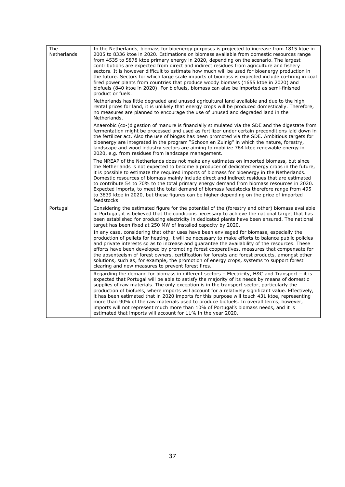| The<br><b>Netherlands</b> | In the Netherlands, biomass for bioenergy purposes is projected to increase from 1815 ktoe in<br>2005 to 8336 ktoe in 2020. Estimations on biomass available from domestic resources range<br>from 4535 to 5878 ktoe primary energy in 2020, depending on the scenario. The largest<br>contributions are expected from direct and indirect residues from agriculture and fishery<br>sectors. It is however difficult to estimate how much will be used for bioenergy production in<br>the future. Sectors for which large scale imports of biomass is expected include co-firing in coal<br>fired power plants from countries that produce woody biomass (1655 ktoe in 2020) and<br>biofuels (840 ktoe in 2020). For biofuels, biomass can also be imported as semi-finished<br>product or fuels. |
|---------------------------|---------------------------------------------------------------------------------------------------------------------------------------------------------------------------------------------------------------------------------------------------------------------------------------------------------------------------------------------------------------------------------------------------------------------------------------------------------------------------------------------------------------------------------------------------------------------------------------------------------------------------------------------------------------------------------------------------------------------------------------------------------------------------------------------------|
|                           | Netherlands has little degraded and unused agricultural land available and due to the high<br>rental prices for land, it is unlikely that energy crops will be produced domestically. Therefore,<br>no measures are planned to encourage the use of unused and degraded land in the<br>Netherlands.                                                                                                                                                                                                                                                                                                                                                                                                                                                                                               |
|                           | Anaerobic (co-)digestion of manure is financially stimulated via the SDE and the digestate from<br>fermentation might be processed and used as fertilizer under certain preconditions laid down in<br>the fertilizer act. Also the use of biogas has been promoted via the SDE. Ambitious targets for<br>bioenergy are integrated in the program "Schoon en Zuinig" in which the nature, forestry,<br>landscape and wood industry sectors are aiming to mobilize 764 ktoe renewable energy in<br>2020, e.g. from residues from landscape management.                                                                                                                                                                                                                                              |
|                           | The NREAP of the Netherlands does not make any estimates on imported biomass, but since<br>the Netherlands is not expected to become a producer of dedicated energy crops in the future,<br>it is possible to estimate the required imports of biomass for bioenergy in the Netherlands.<br>Domestic resources of biomass mainly include direct and indirect residues that are estimated<br>to contribute 54 to 70% to the total primary energy demand from biomass resources in 2020.<br>Expected imports, to meet the total demand of biomass feedstocks therefore range from 495<br>to 3839 ktoe in 2020, but these figures can be higher depending on the price of imported<br>feedstocks.                                                                                                    |
| Portugal                  | Considering the estimated figure for the potential of the (forestry and other) biomass available<br>in Portugal, it is believed that the conditions necessary to achieve the national target that has<br>been established for producing electricity in dedicated plants have been ensured. The national<br>target has been fixed at 250 MW of installed capacity by 2020.                                                                                                                                                                                                                                                                                                                                                                                                                         |
|                           | In any case, considering that other uses have been envisaged for biomass, especially the<br>production of pellets for heating, it will be necessary to make efforts to balance public policies<br>and private interests so as to increase and guarantee the availability of the resources. These<br>efforts have been developed by promoting forest cooperatives, measures that compensate for<br>the absenteeism of forest owners, certification for forests and forest products, amongst other<br>solutions, such as, for example, the promotion of energy crops, systems to support forest<br>clearing and new measures to prevent forest fires.                                                                                                                                               |
|                           | Regarding the demand for biomass in different sectors - Electricity, H&C and Transport - it is<br>expected that Portugal will be able to satisfy the majority of its needs by means of domestic<br>supplies of raw materials. The only exception is in the transport sector, particularly the<br>production of biofuels, where imports will account for a relatively significant value. Effectively,<br>it has been estimated that in 2020 imports for this purpose will touch 431 ktoe, representing<br>more than 90% of the raw materials used to produce biofuels. In overall terms, however,<br>imports will not represent much more than 10% of Portugal's biomass needs, and it is<br>estimated that imports will account for 11% in the year 2020.                                         |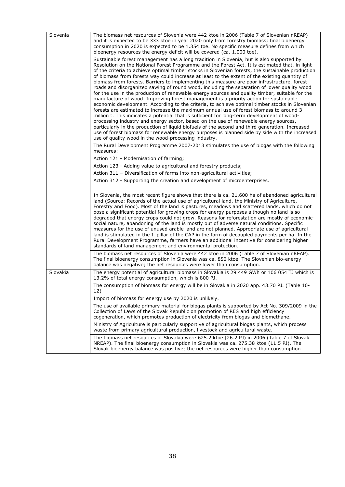| Slovenia | The biomass net resources of Slovenia were 442 ktoe in 2006 (Table 7 of Slovenian nREAP)<br>and it is expected to be 333 ktoe in year 2020 only from forestry biomass; final bioenergy<br>consumption in 2020 is expected to be 1.354 toe. No specific measure defines from which<br>bioenergy resources the energy deficit will be covered (ca. 1.000 toe).                                                                                                                                                                                                                                                                                                                                                                                                                                                                                                                                                                                                                                                                                                                                                                                                                                                                                                                                                                                                                                                                              |
|----------|-------------------------------------------------------------------------------------------------------------------------------------------------------------------------------------------------------------------------------------------------------------------------------------------------------------------------------------------------------------------------------------------------------------------------------------------------------------------------------------------------------------------------------------------------------------------------------------------------------------------------------------------------------------------------------------------------------------------------------------------------------------------------------------------------------------------------------------------------------------------------------------------------------------------------------------------------------------------------------------------------------------------------------------------------------------------------------------------------------------------------------------------------------------------------------------------------------------------------------------------------------------------------------------------------------------------------------------------------------------------------------------------------------------------------------------------|
|          | Sustainable forest management has a long tradition in Slovenia, but is also supported by<br>Resolution on the National Forest Programme and the Forest Act. It is estimated that, in light<br>of the criteria to achieve optimal timber stocks in Slovenian forests, the sustainable production<br>of biomass from forests way could increase at least to the extent of the existing quantity of<br>biomass from forests. Barriers to implementing this measure are poor infrastructure, forest<br>roads and disorganized sawing of round wood, including the separation of lower quality wood<br>for the use in the production of renewable energy sources and quality timber, suitable for the<br>manufacture of wood. Improving forest management is a priority action for sustainable<br>economic development. According to the criteria, to achieve optimal timber stocks in Slovenian<br>forests are estimated to increase the maximum annual use of forest biomass to around 3<br>million t. This indicates a potential that is sufficient for long-term development of wood-<br>processing industry and energy sector, based on the use of renewable energy sources,<br>particularly in the production of liquid biofuels of the second and third generation. Increased<br>use of forest biomass for renewable energy purposes is planned side by side with the increased<br>use of quality wood in the wood-processing industry. |
|          | The Rural Development Programme 2007-2013 stimulates the use of biogas with the following<br>measures:                                                                                                                                                                                                                                                                                                                                                                                                                                                                                                                                                                                                                                                                                                                                                                                                                                                                                                                                                                                                                                                                                                                                                                                                                                                                                                                                    |
|          | Action 121 - Modernisation of farming;                                                                                                                                                                                                                                                                                                                                                                                                                                                                                                                                                                                                                                                                                                                                                                                                                                                                                                                                                                                                                                                                                                                                                                                                                                                                                                                                                                                                    |
|          | Action 123 - Adding value to agricultural and forestry products;                                                                                                                                                                                                                                                                                                                                                                                                                                                                                                                                                                                                                                                                                                                                                                                                                                                                                                                                                                                                                                                                                                                                                                                                                                                                                                                                                                          |
|          | Action 311 - Diversification of farms into non-agricultural activities;                                                                                                                                                                                                                                                                                                                                                                                                                                                                                                                                                                                                                                                                                                                                                                                                                                                                                                                                                                                                                                                                                                                                                                                                                                                                                                                                                                   |
|          | Action 312 - Supporting the creation and development of microenterprises.                                                                                                                                                                                                                                                                                                                                                                                                                                                                                                                                                                                                                                                                                                                                                                                                                                                                                                                                                                                                                                                                                                                                                                                                                                                                                                                                                                 |
|          | In Slovenia, the most recent figure shows that there is ca. 21,600 ha of abandoned agricultural<br>land (Source: Records of the actual use of agricultural land, the Ministry of Agriculture,<br>Forestry and Food). Most of the land is pastures, meadows and scattered lands, which do not<br>pose a significant potential for growing crops for energy purposes although no land is so<br>degraded that energy crops could not grow. Reasons for reforestation are mostly of economic-<br>social nature, abandoning of the land is mostly out of adverse natural conditions. Specific<br>measures for the use of unused arable land are not planned. Appropriate use of agricultural<br>land is stimulated in the I. pillar of the CAP in the form of decoupled payments per ha. In the<br>Rural Development Programme, farmers have an additional incentive for considering higher<br>standards of land management and environmental protection.                                                                                                                                                                                                                                                                                                                                                                                                                                                                                      |
|          | The biomass net resources of Slovenia were 442 ktoe in 2006 (Table 7 of Slovenian nREAP).<br>The final bioenergy consumption in Slovenia was ca. 850 ktoe. The Slovenian bio-energy<br>balance was negative; the net resources were lower than consumption.                                                                                                                                                                                                                                                                                                                                                                                                                                                                                                                                                                                                                                                                                                                                                                                                                                                                                                                                                                                                                                                                                                                                                                               |
| Slovakia | The energy potential of agricultural biomass in Slovakia is 29 449 GWh or 106 054 TJ which is<br>13.2% of total energy consumption, which is 800 PJ.                                                                                                                                                                                                                                                                                                                                                                                                                                                                                                                                                                                                                                                                                                                                                                                                                                                                                                                                                                                                                                                                                                                                                                                                                                                                                      |
|          | The consumption of biomass for energy will be in Slovakia in 2020 app. 43.70 PJ. (Table 10-<br>12)                                                                                                                                                                                                                                                                                                                                                                                                                                                                                                                                                                                                                                                                                                                                                                                                                                                                                                                                                                                                                                                                                                                                                                                                                                                                                                                                        |
|          | Import of biomass for energy use by 2020 is unlikely.                                                                                                                                                                                                                                                                                                                                                                                                                                                                                                                                                                                                                                                                                                                                                                                                                                                                                                                                                                                                                                                                                                                                                                                                                                                                                                                                                                                     |
|          | The use of available primary material for biogas plants is supported by Act No. 309/2009 in the<br>Collection of Laws of the Slovak Republic on promotion of RES and high efficiency<br>cogeneration, which promotes production of electricity from biogas and biomethane.                                                                                                                                                                                                                                                                                                                                                                                                                                                                                                                                                                                                                                                                                                                                                                                                                                                                                                                                                                                                                                                                                                                                                                |
|          | Ministry of Agriculture is particularly supportive of agricultural biogas plants, which process<br>waste from primary agricultural production, livestock and agricultural waste.                                                                                                                                                                                                                                                                                                                                                                                                                                                                                                                                                                                                                                                                                                                                                                                                                                                                                                                                                                                                                                                                                                                                                                                                                                                          |
|          | The biomass net resources of Slovakia were 625.2 ktoe (26.2 PJ) in 2006 (Table 7 of Slovak<br>NREAP). The final bioenergy consumption in Slovakia was ca. 275.38 ktoe (11.5 PJ). The<br>Slovak bioenergy balance was positive; the net resources were higher than consumption.                                                                                                                                                                                                                                                                                                                                                                                                                                                                                                                                                                                                                                                                                                                                                                                                                                                                                                                                                                                                                                                                                                                                                            |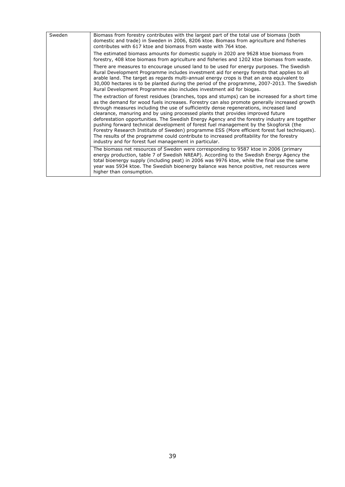| Sweden | Biomass from forestry contributes with the largest part of the total use of biomass (both<br>domestic and trade) in Sweden in 2006, 8206 ktoe. Biomass from agriculture and fisheries<br>contributes with 617 ktoe and biomass from waste with 764 ktoe.                                                                                                                                                                                                                                                                                                                                                                                                                                                                                                                                                                       |
|--------|--------------------------------------------------------------------------------------------------------------------------------------------------------------------------------------------------------------------------------------------------------------------------------------------------------------------------------------------------------------------------------------------------------------------------------------------------------------------------------------------------------------------------------------------------------------------------------------------------------------------------------------------------------------------------------------------------------------------------------------------------------------------------------------------------------------------------------|
|        | The estimated biomass amounts for domestic supply in 2020 are 9628 ktoe biomass from<br>forestry, 408 ktoe biomass from agriculture and fisheries and 1202 ktoe biomass from waste.                                                                                                                                                                                                                                                                                                                                                                                                                                                                                                                                                                                                                                            |
|        | There are measures to encourage unused land to be used for energy purposes. The Swedish<br>Rural Development Programme includes investment aid for energy forests that applies to all<br>arable land. The target as regards multi-annual energy crops is that an area equivalent to<br>30,000 hectares is to be planted during the period of the programme, 2007-2013. The Swedish<br>Rural Development Programme also includes investment aid for biogas.                                                                                                                                                                                                                                                                                                                                                                     |
|        | The extraction of forest residues (branches, tops and stumps) can be increased for a short time<br>as the demand for wood fuels increases. Forestry can also promote generally increased growth<br>through measures including the use of sufficiently dense regenerations, increased land<br>clearance, manuring and by using processed plants that provides improved future<br>deforestation opportunities. The Swedish Energy Agency and the forestry industry are together<br>pushing forward technical development of forest fuel management by the Skogforsk (the<br>Forestry Research Institute of Sweden) programme ESS (More efficient forest fuel techniques).<br>The results of the programme could contribute to increased profitability for the forestry<br>industry and for forest fuel management in particular. |
|        | The biomass net resources of Sweden were corresponding to 9587 ktoe in 2006 (primary<br>energy production, table 7 of Swedish NREAP). According to the Swedish Energy Agency the<br>total bioenergy supply (including peat) in 2006 was 9976 ktoe, while the final use the same<br>year was 5934 ktoe. The Swedish bioenergy balance was hence positive, net resources were<br>higher than consumption.                                                                                                                                                                                                                                                                                                                                                                                                                        |